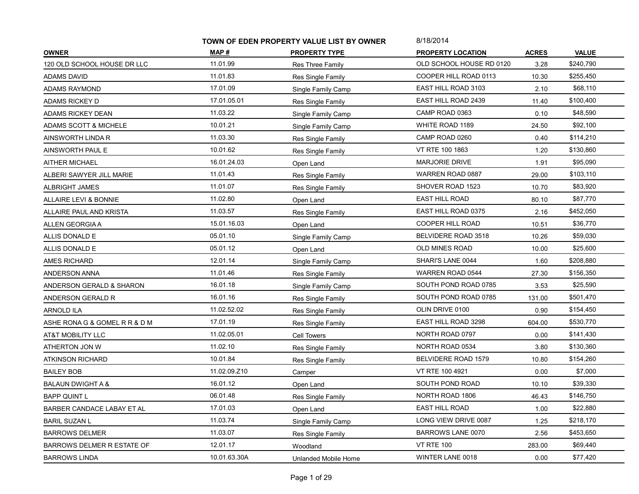|                                   | TOWN OF EDEN PROPERTY VALUE LIST BY OWNER |                          | 8/18/2014                  |              |              |
|-----------------------------------|-------------------------------------------|--------------------------|----------------------------|--------------|--------------|
| <b>OWNER</b>                      | MAP #                                     | <b>PROPERTY TYPE</b>     | <b>PROPERTY LOCATION</b>   | <b>ACRES</b> | <b>VALUE</b> |
| 120 OLD SCHOOL HOUSE DR LLC       | 11.01.99                                  | <b>Res Three Family</b>  | OLD SCHOOL HOUSE RD 0120   | 3.28         | \$240,790    |
| <b>ADAMS DAVID</b>                | 11.01.83                                  | Res Single Family        | COOPER HILL ROAD 0113      | 10.30        | \$255,450    |
| ADAMS RAYMOND                     | 17.01.09                                  | Single Family Camp       | EAST HILL ROAD 3103        | 2.10         | \$68,110     |
| ADAMS RICKEY D                    | 17.01.05.01                               | Res Single Family        | <b>EAST HILL ROAD 2439</b> | 11.40        | \$100,400    |
| ADAMS RICKEY DEAN                 | 11.03.22                                  | Single Family Camp       | CAMP ROAD 0363             | 0.10         | \$48,590     |
| <b>ADAMS SCOTT &amp; MICHELE</b>  | 10.01.21                                  | Single Family Camp       | WHITE ROAD 1189            | 24.50        | \$92,100     |
| AINSWORTH LINDA R                 | 11.03.30                                  | Res Single Family        | CAMP ROAD 0260             | 0.40         | \$114,210    |
| AINSWORTH PAUL E                  | 10.01.62                                  | Res Single Family        | VT RTE 100 1863            | 1.20         | \$130,860    |
| <b>AITHER MICHAEL</b>             | 16.01.24.03                               | Open Land                | <b>MARJORIE DRIVE</b>      | 1.91         | \$95,090     |
| ALBERI SAWYER JILL MARIE          | 11.01.43                                  | Res Single Family        | WARREN ROAD 0887           | 29.00        | \$103,110    |
| ALBRIGHT JAMES                    | 11.01.07                                  | Res Single Family        | SHOVER ROAD 1523           | 10.70        | \$83,920     |
| ALLAIRE LEVI & BONNIE             | 11.02.80                                  | Open Land                | <b>EAST HILL ROAD</b>      | 80.10        | \$87,770     |
| ALLAIRE PAUL AND KRISTA           | 11.03.57                                  | Res Single Family        | EAST HILL ROAD 0375        | 2.16         | \$452,050    |
| ALLEN GEORGIA A                   | 15.01.16.03                               | Open Land                | <b>COOPER HILL ROAD</b>    | 10.51        | \$36,770     |
| ALLIS DONALD E                    | 05.01.10                                  | Single Family Camp       | BELVIDERE ROAD 3518        | 10.26        | \$59,030     |
| ALLIS DONALD E                    | 05.01.12                                  | Open Land                | <b>OLD MINES ROAD</b>      | 10.00        | \$25,600     |
| AMES RICHARD                      | 12.01.14                                  | Single Family Camp       | SHARI'S LANE 0044          | 1.60         | \$208,880    |
| <b>ANDERSON ANNA</b>              | 11.01.46                                  | Res Single Family        | <b>WARREN ROAD 0544</b>    | 27.30        | \$156,350    |
| ANDERSON GERALD & SHARON          | 16.01.18                                  | Single Family Camp       | SOUTH POND ROAD 0785       | 3.53         | \$25,590     |
| ANDERSON GERALD R                 | 16.01.16                                  | Res Single Family        | SOUTH POND ROAD 0785       | 131.00       | \$501,470    |
| ARNOLD ILA                        | 11.02.52.02                               | Res Single Family        | OLIN DRIVE 0100            | 0.90         | \$154,450    |
| ASHE RONA G & GOMEL R R & D M     | 17.01.19                                  | Res Single Family        | EAST HILL ROAD 3298        | 604.00       | \$530,770    |
| AT&T MOBILITY LLC                 | 11.02.05.01                               | Cell Towers              | NORTH ROAD 0797            | 0.00         | \$141,430    |
| ATHERTON JON W                    | 11.02.10                                  | Res Single Family        | NORTH ROAD 0534            | 3.80         | \$130,360    |
| ATKINSON RICHARD                  | 10.01.84                                  | Res Single Family        | BELVIDERE ROAD 1579        | 10.80        | \$154,260    |
| <b>BAILEY BOB</b>                 | 11.02.09.Z10                              | Camper                   | VT RTE 100 4921            | 0.00         | \$7,000      |
| <b>BALAUN DWIGHT A &amp;</b>      | 16.01.12                                  | Open Land                | SOUTH POND ROAD            | 10.10        | \$39,330     |
| <b>BAPP QUINT L</b>               | 06.01.48                                  | Res Single Family        | NORTH ROAD 1806            | 46.43        | \$146,750    |
| <b>BARBER CANDACE LABAY ET AL</b> | 17.01.03                                  | Open Land                | <b>EAST HILL ROAD</b>      | 1.00         | \$22,880     |
| <b>BARIL SUZAN L</b>              | 11.03.74                                  | Single Family Camp       | LONG VIEW DRIVE 0087       | 1.25         | \$218,170    |
| <b>BARROWS DELMER</b>             | 11.03.07                                  | <b>Res Single Family</b> | BARROWS LANE 0070          | 2.56         | \$453,650    |
| <b>BARROWS DELMER R ESTATE OF</b> | 12.01.17                                  | Woodland                 | <b>VT RTE 100</b>          | 283.00       | \$69,440     |
| <b>BARROWS LINDA</b>              | 10.01.63.30A                              | Unlanded Mobile Home     | WINTER LANE 0018           | 0.00         | \$77,420     |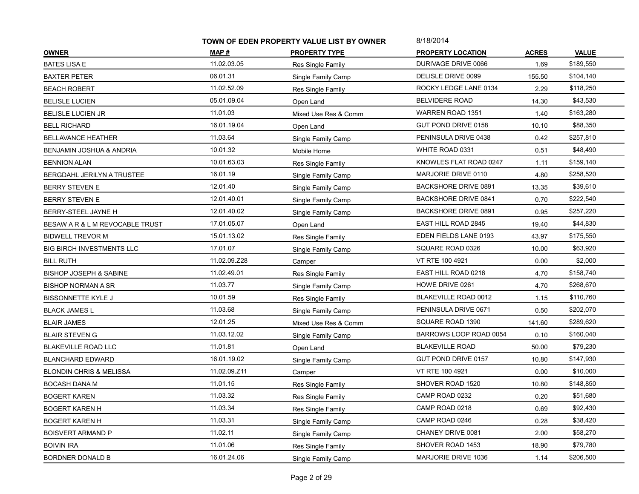|                                     | TOWN OF EDEN PROPERTY VALUE LIST BY OWNER |                      | 8/18/2014                   |              |              |
|-------------------------------------|-------------------------------------------|----------------------|-----------------------------|--------------|--------------|
| <b>OWNER</b>                        | MAP #                                     | <b>PROPERTY TYPE</b> | <b>PROPERTY LOCATION</b>    | <b>ACRES</b> | <b>VALUE</b> |
| <b>BATES LISA E</b>                 | 11.02.03.05                               | Res Single Family    | DURIVAGE DRIVE 0066         | 1.69         | \$189,550    |
| <b>BAXTER PETER</b>                 | 06.01.31                                  | Single Family Camp   | DELISLE DRIVE 0099          | 155.50       | \$104,140    |
| BEACH ROBERT                        | 11.02.52.09                               | Res Single Family    | ROCKY LEDGE LANE 0134       | 2.29         | \$118,250    |
| <b>BELISLE LUCIEN</b>               | 05.01.09.04                               | Open Land            | <b>BELVIDERE ROAD</b>       | 14.30        | \$43,530     |
| <b>BELISLE LUCIEN JR</b>            | 11.01.03                                  | Mixed Use Res & Comm | WARREN ROAD 1351            | 1.40         | \$163,280    |
| <b>BELL RICHARD</b>                 | 16.01.19.04                               | Open Land            | GUT POND DRIVE 0158         | 10.10        | \$88,350     |
| BELLAVANCE HEATHER                  | 11.03.64                                  | Single Family Camp   | PENINSULA DRIVE 0438        | 0.42         | \$257,810    |
| <b>BENJAMIN JOSHUA &amp; ANDRIA</b> | 10.01.32                                  | Mobile Home          | WHITE ROAD 0331             | 0.51         | \$48,490     |
| <b>BENNION ALAN</b>                 | 10.01.63.03                               | Res Single Family    | KNOWLES FLAT ROAD 0247      | 1.11         | \$159,140    |
| BERGDAHL JERILYN A TRUSTEE          | 16.01.19                                  | Single Family Camp   | MARJORIE DRIVE 0110         | 4.80         | \$258,520    |
| BERRY STEVEN E                      | 12.01.40                                  | Single Family Camp   | <b>BACKSHORE DRIVE 0891</b> | 13.35        | \$39,610     |
| BERRY STEVEN E                      | 12.01.40.01                               | Single Family Camp   | <b>BACKSHORE DRIVE 0841</b> | 0.70         | \$222,540    |
| BERRY-STEEL JAYNE H                 | 12.01.40.02                               | Single Family Camp   | <b>BACKSHORE DRIVE 0891</b> | 0.95         | \$257,220    |
| BESAW A R & L M REVOCABLE TRUST     | 17.01.05.07                               | Open Land            | EAST HILL ROAD 2845         | 19.40        | \$44,830     |
| <b>BIDWELL TREVOR M</b>             | 15.01.13.02                               | Res Single Family    | EDEN FIELDS LANE 0193       | 43.97        | \$175,550    |
| <b>BIG BIRCH INVESTMENTS LLC</b>    | 17.01.07                                  | Single Family Camp   | SQUARE ROAD 0326            | 10.00        | \$63,920     |
| <b>BILL RUTH</b>                    | 11.02.09.Z28                              | Camper               | VT RTE 100 4921             | 0.00         | \$2,000      |
| <b>BISHOP JOSEPH &amp; SABINE</b>   | 11.02.49.01                               | Res Single Family    | EAST HILL ROAD 0216         | 4.70         | \$158,740    |
| <b>BISHOP NORMAN A SR</b>           | 11.03.77                                  | Single Family Camp   | HOWE DRIVE 0261             | 4.70         | \$268,670    |
| <b>BISSONNETTE KYLE J</b>           | 10.01.59                                  | Res Single Family    | BLAKEVILLE ROAD 0012        | 1.15         | \$110,760    |
| <b>BLACK JAMES L</b>                | 11.03.68                                  | Single Family Camp   | PENINSULA DRIVE 0671        | 0.50         | \$202,070    |
| <b>BLAIR JAMES</b>                  | 12.01.25                                  | Mixed Use Res & Comm | SQUARE ROAD 1390            | 141.60       | \$289,620    |
| <b>BLAIR STEVEN G</b>               | 11.03.12.02                               | Single Family Camp   | BARROWS LOOP ROAD 0054      | 0.10         | \$160,040    |
| <b>BLAKEVILLE ROAD LLC</b>          | 11.01.81                                  | Open Land            | <b>BLAKEVILLE ROAD</b>      | 50.00        | \$79,230     |
| <b>BLANCHARD EDWARD</b>             | 16.01.19.02                               | Single Family Camp   | GUT POND DRIVE 0157         | 10.80        | \$147,930    |
| <b>BLONDIN CHRIS &amp; MELISSA</b>  | 11.02.09.Z11                              | Camper               | VT RTE 100 4921             | 0.00         | \$10,000     |
| <b>BOCASH DANA M</b>                | 11.01.15                                  | Res Single Family    | SHOVER ROAD 1520            | 10.80        | \$148,850    |
| <b>BOGERT KAREN</b>                 | 11.03.32                                  | Res Single Family    | CAMP ROAD 0232              | 0.20         | \$51,680     |
| <b>BOGERT KAREN H</b>               | 11.03.34                                  | Res Single Family    | CAMP ROAD 0218              | 0.69         | \$92,430     |
| <b>BOGERT KAREN H</b>               | 11.03.31                                  | Single Family Camp   | CAMP ROAD 0246              | 0.28         | \$38,420     |
| BOISVERT ARMAND P                   | 11.02.11                                  | Single Family Camp   | CHANEY DRIVE 0081           | 2.00         | \$58,270     |
| <b>BOIVIN IRA</b>                   | 11.01.06                                  | Res Single Family    | SHOVER ROAD 1453            | 18.90        | \$79,780     |
| <b>BORDNER DONALD B</b>             | 16.01.24.06                               | Single Family Camp   | MARJORIE DRIVE 1036         | 1.14         | \$206,500    |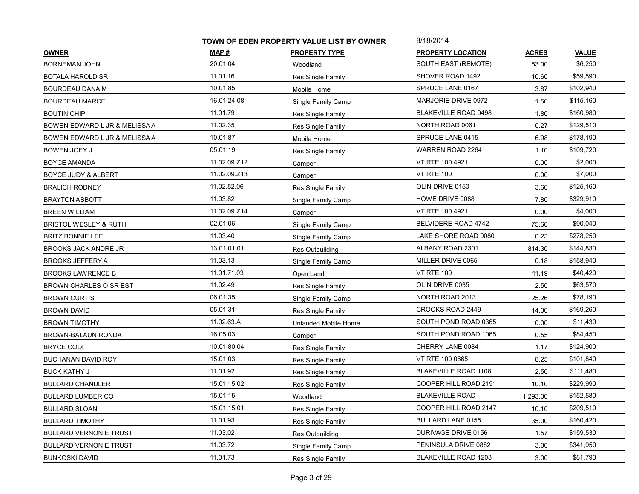| TOWN OF EDEN PROPERTY VALUE LIST BY OWNER |                      | 8/18/2014                   |              |              |
|-------------------------------------------|----------------------|-----------------------------|--------------|--------------|
| MAP #                                     | <b>PROPERTY TYPE</b> | <b>PROPERTY LOCATION</b>    | <b>ACRES</b> | <b>VALUE</b> |
| 20.01.04                                  | Woodland             | SOUTH EAST (REMOTE)         | 53.00        | \$6,250      |
| 11.01.16                                  | Res Single Family    | SHOVER ROAD 1492            | 10.60        | \$59,590     |
| 10.01.85                                  | Mobile Home          | SPRUCE LANE 0167            | 3.87         | \$102,940    |
| 16.01.24.08                               | Single Family Camp   | MARJORIE DRIVE 0972         | 1.56         | \$115,160    |
| 11.01.79                                  | Res Single Family    | <b>BLAKEVILLE ROAD 0498</b> | 1.80         | \$160,980    |
| 11.02.35                                  | Res Single Family    | NORTH ROAD 0061             | 0.27         | \$129,510    |
| 10.01.87                                  | Mobile Home          | SPRUCE LANE 0415            | 6.98         | \$178,190    |
| 05.01.19                                  | Res Single Family    | <b>WARREN ROAD 2264</b>     | 1.10         | \$109,720    |
| 11.02.09.Z12                              | Camper               | VT RTE 100 4921             | 0.00         | \$2,000      |
| 11.02.09.Z13                              | Camper               | <b>VT RTE 100</b>           | 0.00         | \$7,000      |
| 11.02.52.06                               | Res Single Family    | OLIN DRIVE 0150             | 3.60         | \$125,160    |
| 11.03.82                                  | Single Family Camp   | HOWE DRIVE 0088             | 7.80         | \$329,910    |
| 11.02.09.Z14                              | Camper               | VT RTE 100 4921             | 0.00         | \$4,000      |
| 02.01.06                                  | Single Family Camp   | BELVIDERE ROAD 4742         | 75.60        | \$90,040     |
| 11.03.40                                  | Single Family Camp   | LAKE SHORE ROAD 0080        | 0.23         | \$278,250    |
| 13.01.01.01                               | Res Outbuilding      | ALBANY ROAD 2301            | 814.30       | \$144,830    |
| 11.03.13                                  | Single Family Camp   | MILLER DRIVE 0065           | 0.18         | \$158,940    |
| 11.01.71.03                               | Open Land            | <b>VT RTE 100</b>           | 11.19        | \$40,420     |
| 11.02.49                                  | Res Single Family    | OLIN DRIVE 0035             | 2.50         | \$63,570     |
| 06.01.35                                  | Single Family Camp   | NORTH ROAD 2013             | 25.26        | \$78,190     |
| 05.01.31                                  | Res Single Family    | CROOKS ROAD 2449            | 14.00        | \$169,260    |
| 11.02.63.A                                | Unlanded Mobile Home | SOUTH POND ROAD 0365        | 0.00         | \$11,430     |
| 16.05.03                                  | Camper               | SOUTH POND ROAD 1065        | 0.55         | \$84,450     |
| 10.01.80.04                               | Res Single Family    | CHERRY LANE 0084            | 1.17         | \$124,900    |
| 15.01.03                                  | Res Single Family    | VT RTE 100 0665             | 8.25         | \$101,840    |
| 11.01.92                                  | Res Single Family    | <b>BLAKEVILLE ROAD 1108</b> | 2.50         | \$111,480    |
| 15.01.15.02                               | Res Single Family    | COOPER HILL ROAD 2191       | 10.10        | \$229,990    |
| 15.01.15                                  | Woodland             | <b>BLAKEVILLE ROAD</b>      | 1,293.00     | \$152,580    |
| 15.01.15.01                               | Res Single Family    | COOPER HILL ROAD 2147       | 10.10        | \$209,510    |
| 11.01.93                                  | Res Single Family    | <b>BULLARD LANE 0155</b>    | 35.00        | \$160,420    |
| 11.03.02                                  | Res Outbuilding      | DURIVAGE DRIVE 0156         | 1.57         | \$159,530    |
| 11.03.72                                  | Single Family Camp   | PENINSULA DRIVE 0882        | 3.00         | \$341,950    |
| 11.01.73                                  | Res Single Family    | BLAKEVILLE ROAD 1203        | 3.00         | \$81,790     |
|                                           |                      |                             |              |              |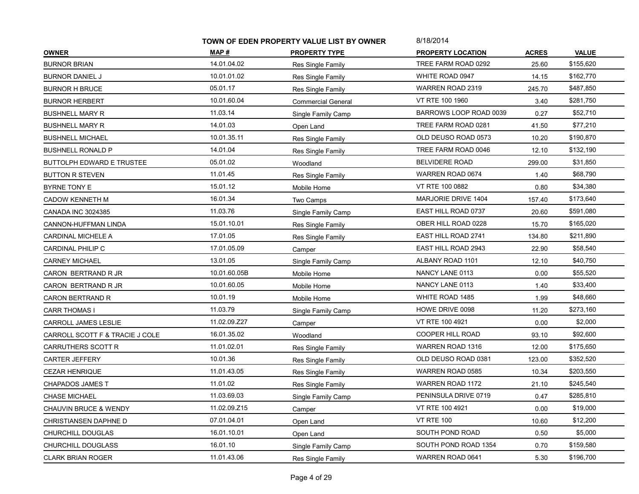|                                  | TOWN OF EDEN PROPERTY VALUE LIST BY OWNER |                           | 8/18/2014                  |              |              |
|----------------------------------|-------------------------------------------|---------------------------|----------------------------|--------------|--------------|
| <b>OWNER</b>                     | MAP #                                     | <b>PROPERTY TYPE</b>      | <b>PROPERTY LOCATION</b>   | <b>ACRES</b> | <b>VALUE</b> |
| <b>BURNOR BRIAN</b>              | 14.01.04.02                               | Res Single Family         | TREE FARM ROAD 0292        | 25.60        | \$155,620    |
| <b>BURNOR DANIEL J</b>           | 10.01.01.02                               | Res Single Family         | WHITE ROAD 0947            | 14.15        | \$162,770    |
| <b>BURNOR H BRUCE</b>            | 05.01.17                                  | Res Single Family         | WARREN ROAD 2319           | 245.70       | \$487,850    |
| <b>BURNOR HERBERT</b>            | 10.01.60.04                               | <b>Commercial General</b> | VT RTE 100 1960            | 3.40         | \$281,750    |
| <b>BUSHNELL MARY R</b>           | 11.03.14                                  | Single Family Camp        | BARROWS LOOP ROAD 0039     | 0.27         | \$52,710     |
| <b>BUSHNELL MARY R</b>           | 14.01.03                                  | Open Land                 | TREE FARM ROAD 0281        | 41.50        | \$77,210     |
| BUSHNELL MICHAEL                 | 10.01.35.11                               | Res Single Family         | OLD DEUSO ROAD 0573        | 10.20        | \$190,870    |
| <b>BUSHNELL RONALD P</b>         | 14.01.04                                  | Res Single Family         | TREE FARM ROAD 0046        | 12.10        | \$132,190    |
| BUTTOLPH EDWARD E TRUSTEE        | 05.01.02                                  | Woodland                  | <b>BELVIDERE ROAD</b>      | 299.00       | \$31,850     |
| <b>BUTTON R STEVEN</b>           | 11.01.45                                  | Res Single Family         | WARREN ROAD 0674           | 1.40         | \$68,790     |
| BYRNE TONY E                     | 15.01.12                                  | Mobile Home               | VT RTE 100 0882            | 0.80         | \$34,380     |
| <b>CADOW KENNETH M</b>           | 16.01.34                                  | Two Camps                 | MARJORIE DRIVE 1404        | 157.40       | \$173,640    |
| <b>CANADA INC 3024385</b>        | 11.03.76                                  | Single Family Camp        | EAST HILL ROAD 0737        | 20.60        | \$591,080    |
| CANNON-HUFFMAN LINDA             | 15.01.10.01                               | Res Single Family         | OBER HILL ROAD 0228        | 15.70        | \$165,020    |
| <b>CARDINAL MICHELE A</b>        | 17.01.05                                  | <b>Res Single Family</b>  | EAST HILL ROAD 2741        | 134.80       | \$211,890    |
| CARDINAL PHILIP C                | 17.01.05.09                               | Camper                    | <b>EAST HILL ROAD 2943</b> | 22.90        | \$58,540     |
| <b>CARNEY MICHAEL</b>            | 13.01.05                                  | Single Family Camp        | ALBANY ROAD 1101           | 12.10        | \$40,750     |
| CARON BERTRAND R JR              | 10.01.60.05B                              | Mobile Home               | NANCY LANE 0113            | 0.00         | \$55,520     |
| CARON BERTRAND R JR              | 10.01.60.05                               | Mobile Home               | NANCY LANE 0113            | 1.40         | \$33,400     |
| <b>CARON BERTRAND R</b>          | 10.01.19                                  | Mobile Home               | WHITE ROAD 1485            | 1.99         | \$48,660     |
| <b>CARR THOMAS I</b>             | 11.03.79                                  | Single Family Camp        | HOWE DRIVE 0098            | 11.20        | \$273,160    |
| CARROLL JAMES LESLIE             | 11.02.09.Z27                              | Camper                    | VT RTE 100 4921            | 0.00         | \$2,000      |
| CARROLL SCOTT F & TRACIE J COLE  | 16.01.35.02                               | Woodland                  | <b>COOPER HILL ROAD</b>    | 93.10        | \$92,600     |
| CARRUTHERS SCOTT R               | 11.01.02.01                               | Res Single Family         | WARREN ROAD 1316           | 12.00        | \$175,650    |
| <b>CARTER JEFFERY</b>            | 10.01.36                                  | Res Single Family         | OLD DEUSO ROAD 0381        | 123.00       | \$352,520    |
| <b>CEZAR HENRIQUE</b>            | 11.01.43.05                               | Res Single Family         | WARREN ROAD 0585           | 10.34        | \$203,550    |
| <b>CHAPADOS JAMES T</b>          | 11.01.02                                  | Res Single Family         | <b>WARREN ROAD 1172</b>    | 21.10        | \$245,540    |
| <b>CHASE MICHAEL</b>             | 11.03.69.03                               | Single Family Camp        | PENINSULA DRIVE 0719       | 0.47         | \$285,810    |
| <b>CHAUVIN BRUCE &amp; WENDY</b> | 11.02.09.Z15                              | Camper                    | VT RTE 100 4921            | 0.00         | \$19,000     |
| CHRISTIANSEN DAPHNE D            | 07.01.04.01                               | Open Land                 | <b>VT RTE 100</b>          | 10.60        | \$12,200     |
| CHURCHILL DOUGLAS                | 16.01.10.01                               | Open Land                 | SOUTH POND ROAD            | 0.50         | \$5,000      |
| CHURCHILL DOUGLASS               | 16.01.10                                  | Single Family Camp        | SOUTH POND ROAD 1354       | 0.70         | \$159,580    |
| <b>CLARK BRIAN ROGER</b>         | 11.01.43.06                               | Res Single Family         | WARREN ROAD 0641           | 5.30         | \$196,700    |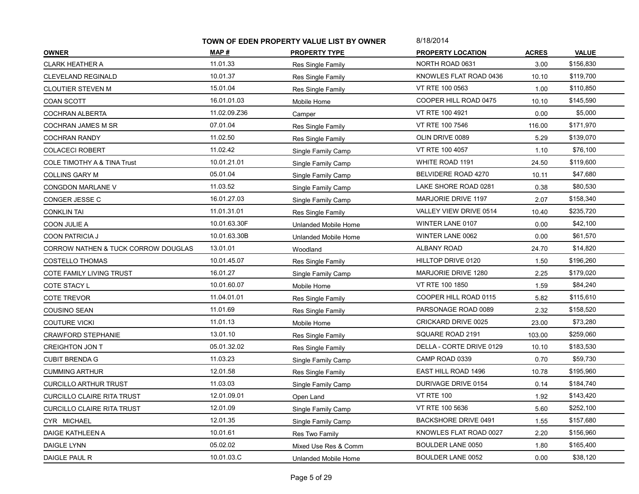|                                        | TOWN OF EDEN PROPERTY VALUE LIST BY OWNER |                          | 8/18/2014                   |              |              |
|----------------------------------------|-------------------------------------------|--------------------------|-----------------------------|--------------|--------------|
| <b>OWNER</b>                           | MAP #                                     | <b>PROPERTY TYPE</b>     | <b>PROPERTY LOCATION</b>    | <b>ACRES</b> | <b>VALUE</b> |
| <b>CLARK HEATHER A</b>                 | 11.01.33                                  | <b>Res Single Family</b> | NORTH ROAD 0631             | 3.00         | \$156,830    |
| <b>CLEVELAND REGINALD</b>              | 10.01.37                                  | Res Single Family        | KNOWLES FLAT ROAD 0436      | 10.10        | \$119,700    |
| <b>CLOUTIER STEVEN M</b>               | 15.01.04                                  | Res Single Family        | VT RTE 100 0563             | 1.00         | \$110,850    |
| COAN SCOTT                             | 16.01.01.03                               | Mobile Home              | COOPER HILL ROAD 0475       | 10.10        | \$145,590    |
| <b>COCHRAN ALBERTA</b>                 | 11.02.09.Z36                              | Camper                   | VT RTE 100 4921             | 0.00         | \$5,000      |
| <b>COCHRAN JAMES M SR</b>              | 07.01.04                                  | Res Single Family        | VT RTE 100 7546             | 116.00       | \$171,970    |
| <b>COCHRAN RANDY</b>                   | 11.02.50                                  | Res Single Family        | OLIN DRIVE 0089             | 5.29         | \$139,070    |
| <b>COLACECI ROBERT</b>                 | 11.02.42                                  | Single Family Camp       | VT RTE 100 4057             | 1.10         | \$76,100     |
| <b>COLE TIMOTHY A &amp; TINA Trust</b> | 10.01.21.01                               | Single Family Camp       | WHITE ROAD 1191             | 24.50        | \$119,600    |
| <b>COLLINS GARY M</b>                  | 05.01.04                                  | Single Family Camp       | BELVIDERE ROAD 4270         | 10.11        | \$47,680     |
| <b>CONGDON MARLANE V</b>               | 11.03.52                                  | Single Family Camp       | LAKE SHORE ROAD 0281        | 0.38         | \$80,530     |
| CONGER JESSE C                         | 16.01.27.03                               | Single Family Camp       | MARJORIE DRIVE 1197         | 2.07         | \$158,340    |
| <b>CONKLIN TAI</b>                     | 11.01.31.01                               | Res Single Family        | VALLEY VIEW DRIVE 0514      | 10.40        | \$235,720    |
| COON JULIE A                           | 10.01.63.30F                              | Unlanded Mobile Home     | WINTER LANE 0107            | 0.00         | \$42,100     |
| COON PATRICIA J                        | 10.01.63.30B                              | Unlanded Mobile Home     | WINTER LANE 0062            | 0.00         | \$61,570     |
| CORROW NATHEN & TUCK CORROW DOUGLAS    | 13.01.01                                  | Woodland                 | <b>ALBANY ROAD</b>          | 24.70        | \$14,820     |
| <b>COSTELLO THOMAS</b>                 | 10.01.45.07                               | Res Single Family        | HILLTOP DRIVE 0120          | 1.50         | \$196,260    |
| COTE FAMILY LIVING TRUST               | 16.01.27                                  | Single Family Camp       | <b>MARJORIE DRIVE 1280</b>  | 2.25         | \$179,020    |
| COTE STACY L                           | 10.01.60.07                               | Mobile Home              | VT RTE 100 1850             | 1.59         | \$84,240     |
| <b>COTE TREVOR</b>                     | 11.04.01.01                               | Res Single Family        | COOPER HILL ROAD 0115       | 5.82         | \$115,610    |
| COUSINO SEAN                           | 11.01.69                                  | Res Single Family        | PARSONAGE ROAD 0089         | 2.32         | \$158,520    |
| <b>COUTURE VICKI</b>                   | 11.01.13                                  | Mobile Home              | CRICKARD DRIVE 0025         | 23.00        | \$73,280     |
| <b>CRAWFORD STEPHANIE</b>              | 13.01.10                                  | Res Single Family        | SQUARE ROAD 2191            | 103.00       | \$259,060    |
| <b>CREIGHTON JON T</b>                 | 05.01.32.02                               | Res Single Family        | DELLA - CORTE DRIVE 0129    | 10.10        | \$183,530    |
| <b>CUBIT BRENDA G</b>                  | 11.03.23                                  | Single Family Camp       | CAMP ROAD 0339              | 0.70         | \$59,730     |
| <b>CUMMING ARTHUR</b>                  | 12.01.58                                  | Res Single Family        | EAST HILL ROAD 1496         | 10.78        | \$195,960    |
| <b>CURCILLO ARTHUR TRUST</b>           | 11.03.03                                  | Single Family Camp       | DURIVAGE DRIVE 0154         | 0.14         | \$184,740    |
| CURCILLO CLAIRE RITA TRUST             | 12.01.09.01                               | Open Land                | <b>VT RTE 100</b>           | 1.92         | \$143,420    |
| <b>CURCILLO CLAIRE RITA TRUST</b>      | 12.01.09                                  | Single Family Camp       | VT RTE 100 5636             | 5.60         | \$252,100    |
| CYR MICHAEL                            | 12.01.35                                  | Single Family Camp       | <b>BACKSHORE DRIVE 0491</b> | 1.55         | \$157,680    |
| DAIGE KATHLEEN A                       | 10.01.61                                  | Res Two Family           | KNOWLES FLAT ROAD 0027      | 2.20         | \$156,960    |
| DAIGLE LYNN                            | 05.02.02                                  | Mixed Use Res & Comm     | <b>BOULDER LANE 0050</b>    | 1.80         | \$165,400    |
| DAIGLE PAUL R                          | 10.01.03.C                                | Unlanded Mobile Home     | BOULDER LANE 0052           | 0.00         | \$38,120     |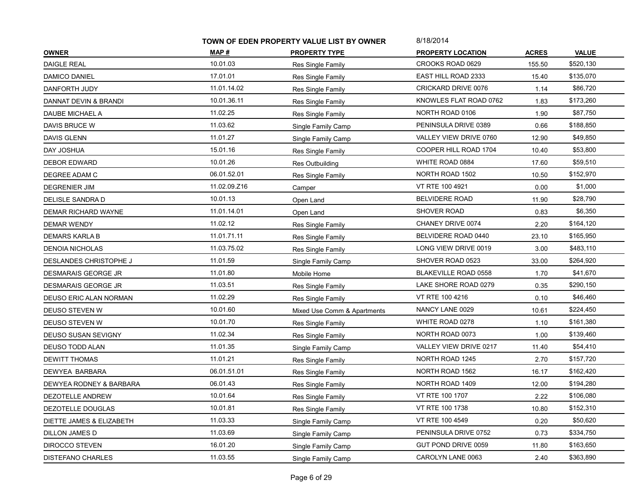|                               | TOWN OF EDEN PROPERTY VALUE LIST BY OWNER |                             | 8/18/2014                |              |              |
|-------------------------------|-------------------------------------------|-----------------------------|--------------------------|--------------|--------------|
| <b>OWNER</b>                  | MAP #                                     | <b>PROPERTY TYPE</b>        | <b>PROPERTY LOCATION</b> | <b>ACRES</b> | <b>VALUE</b> |
| <b>DAIGLE REAL</b>            | 10.01.03                                  | Res Single Family           | CROOKS ROAD 0629         | 155.50       | \$520,130    |
| DAMICO DANIEL                 | 17.01.01                                  | Res Single Family           | EAST HILL ROAD 2333      | 15.40        | \$135,070    |
| DANFORTH JUDY                 | 11.01.14.02                               | Res Single Family           | CRICKARD DRIVE 0076      | 1.14         | \$86,720     |
| DANNAT DEVIN & BRANDI         | 10.01.36.11                               | Res Single Family           | KNOWLES FLAT ROAD 0762   | 1.83         | \$173,260    |
| DAUBE MICHAEL A               | 11.02.25                                  | Res Single Family           | NORTH ROAD 0106          | 1.90         | \$87,750     |
| DAVIS BRUCE W                 | 11.03.62                                  | Single Family Camp          | PENINSULA DRIVE 0389     | 0.66         | \$188,850    |
| DAVIS GLENN                   | 11.01.27                                  | Single Family Camp          | VALLEY VIEW DRIVE 0760   | 12.90        | \$49,850     |
| DAY JOSHUA                    | 15.01.16                                  | Res Single Family           | COOPER HILL ROAD 1704    | 10.40        | \$53,800     |
| <b>DEBOR EDWARD</b>           | 10.01.26                                  | Res Outbuilding             | WHITE ROAD 0884          | 17.60        | \$59,510     |
| DEGREE ADAM C                 | 06.01.52.01                               | Res Single Family           | NORTH ROAD 1502          | 10.50        | \$152,970    |
| DEGRENIER JIM                 | 11.02.09.Z16                              | Camper                      | VT RTE 100 4921          | 0.00         | \$1,000      |
| DELISLE SANDRA D              | 10.01.13                                  | Open Land                   | <b>BELVIDERE ROAD</b>    | 11.90        | \$28,790     |
| DEMAR RICHARD WAYNE           | 11.01.14.01                               | Open Land                   | <b>SHOVER ROAD</b>       | 0.83         | \$6,350      |
| DEMAR WENDY                   | 11.02.12                                  | Res Single Family           | CHANEY DRIVE 0074        | 2.20         | \$164,120    |
| <b>DEMARS KARLA B</b>         | 11.01.71.11                               | Res Single Family           | BELVIDERE ROAD 0440      | 23.10        | \$165,950    |
| DENOIA NICHOLAS               | 11.03.75.02                               | Res Single Family           | LONG VIEW DRIVE 0019     | 3.00         | \$483,110    |
| <b>DESLANDES CHRISTOPHE J</b> | 11.01.59                                  | Single Family Camp          | SHOVER ROAD 0523         | 33.00        | \$264,920    |
| DESMARAIS GEORGE JR           | 11.01.80                                  | Mobile Home                 | BLAKEVILLE ROAD 0558     | 1.70         | \$41,670     |
| DESMARAIS GEORGE JR           | 11.03.51                                  | Res Single Family           | LAKE SHORE ROAD 0279     | 0.35         | \$290,150    |
| DEUSO ERIC ALAN NORMAN        | 11.02.29                                  | Res Single Family           | VT RTE 100 4216          | 0.10         | \$46,460     |
| DEUSO STEVEN W                | 10.01.60                                  | Mixed Use Comm & Apartments | NANCY LANE 0029          | 10.61        | \$224,450    |
| DEUSO STEVEN W                | 10.01.70                                  | Res Single Family           | WHITE ROAD 0278          | 1.10         | \$161,380    |
| <b>DEUSO SUSAN SEVIGNY</b>    | 11.02.34                                  | Res Single Family           | NORTH ROAD 0073          | 1.00         | \$139,460    |
| DEUSO TODD ALAN               | 11.01.35                                  | Single Family Camp          | VALLEY VIEW DRIVE 0217   | 11.40        | \$54,410     |
| DEWITT THOMAS                 | 11.01.21                                  | Res Single Family           | <b>NORTH ROAD 1245</b>   | 2.70         | \$157,720    |
| DEWYEA BARBARA                | 06.01.51.01                               | Res Single Family           | NORTH ROAD 1562          | 16.17        | \$162,420    |
| DEWYEA RODNEY & BARBARA       | 06.01.43                                  | Res Single Family           | NORTH ROAD 1409          | 12.00        | \$194,280    |
| DEZOTELLE ANDREW              | 10.01.64                                  | Res Single Family           | VT RTE 100 1707          | 2.22         | \$106,080    |
| DEZOTELLE DOUGLAS             | 10.01.81                                  | Res Single Family           | VT RTE 100 1738          | 10.80        | \$152,310    |
| DIETTE JAMES & ELIZABETH      | 11.03.33                                  | Single Family Camp          | VT RTE 100 4549          | 0.20         | \$50,620     |
| DILLON JAMES D                | 11.03.69                                  | Single Family Camp          | PENINSULA DRIVE 0752     | 0.73         | \$334,750    |
| DIROCCO STEVEN                | 16.01.20                                  | Single Family Camp          | GUT POND DRIVE 0059      | 11.80        | \$163,650    |
| <b>DISTEFANO CHARLES</b>      | 11.03.55                                  | Single Family Camp          | CAROLYN LANE 0063        | 2.40         | \$363,890    |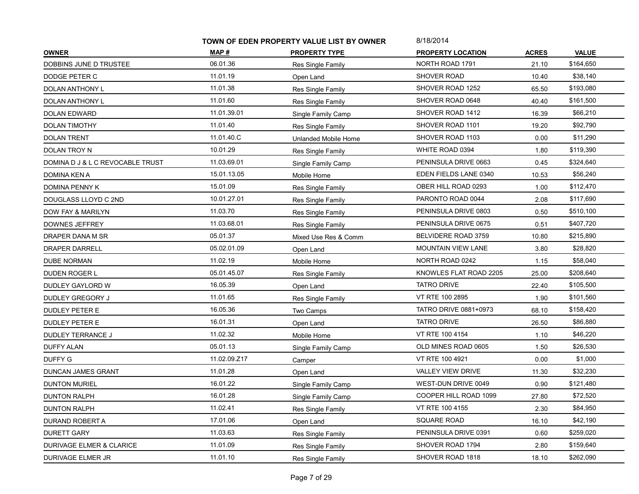|                                  | TOWN OF EDEN PROPERTY VALUE LIST BY OWNER |                      | 8/18/2014                    |              |              |
|----------------------------------|-------------------------------------------|----------------------|------------------------------|--------------|--------------|
| <b>OWNER</b>                     | MAP #                                     | <b>PROPERTY TYPE</b> | <b>PROPERTY LOCATION</b>     | <b>ACRES</b> | <b>VALUE</b> |
| DOBBINS JUNE D TRUSTEE           | 06.01.36                                  | Res Single Family    | NORTH ROAD 1791              | 21.10        | \$164,650    |
| DODGE PETER C                    | 11.01.19                                  | Open Land            | SHOVER ROAD                  | 10.40        | \$38,140     |
| DOLAN ANTHONY L                  | 11.01.38                                  | Res Single Family    | SHOVER ROAD 1252             | 65.50        | \$193,080    |
| DOLAN ANTHONY L                  | 11.01.60                                  | Res Single Family    | SHOVER ROAD 0648             | 40.40        | \$161,500    |
| DOLAN EDWARD                     | 11.01.39.01                               | Single Family Camp   | SHOVER ROAD 1412             | 16.39        | \$66,210     |
| DOLAN TIMOTHY                    | 11.01.40                                  | Res Single Family    | SHOVER ROAD 1101             | 19.20        | \$92,790     |
| <b>DOLAN TRENT</b>               | 11.01.40.C                                | Unlanded Mobile Home | SHOVER ROAD 1103             | 0.00         | \$11,290     |
| DOLAN TROY N                     | 10.01.29                                  | Res Single Family    | WHITE ROAD 0394              | 1.80         | \$119,390    |
| DOMINA D J & L C REVOCABLE TRUST | 11.03.69.01                               | Single Family Camp   | PENINSULA DRIVE 0663         | 0.45         | \$324,640    |
| DOMINA KEN A                     | 15.01.13.05                               | Mobile Home          | EDEN FIELDS LANE 0340        | 10.53        | \$56,240     |
| DOMINA PENNY K                   | 15.01.09                                  | Res Single Family    | OBER HILL ROAD 0293          | 1.00         | \$112,470    |
| DOUGLASS LLOYD C 2ND             | 10.01.27.01                               | Res Single Family    | PARONTO ROAD 0044            | 2.08         | \$117,690    |
| DOW FAY & MARILYN                | 11.03.70                                  | Res Single Family    | PENINSULA DRIVE 0803         | 0.50         | \$510,100    |
| DOWNES JEFFREY                   | 11.03.68.01                               | Res Single Family    | PENINSULA DRIVE 0675         | 0.51         | \$407,720    |
| DRAPER DANA M SR                 | 05.01.37                                  | Mixed Use Res & Comm | BELVIDERE ROAD 3759          | 10.80        | \$215,890    |
| <b>DRAPER DARRELL</b>            | 05.02.01.09                               | Open Land            | <b>MOUNTAIN VIEW LANE</b>    | 3.80         | \$28,820     |
| <b>DUBE NORMAN</b>               | 11.02.19                                  | Mobile Home          | NORTH ROAD 0242              | 1.15         | \$58,040     |
| DUDEN ROGER L                    | 05.01.45.07                               | Res Single Family    | KNOWLES FLAT ROAD 2205       | 25.00        | \$208,640    |
| DUDLEY GAYLORD W                 | 16.05.39                                  | Open Land            | <b>TATRO DRIVE</b>           | 22.40        | \$105,500    |
| <b>DUDLEY GREGORY J</b>          | 11.01.65                                  | Res Single Family    | VT RTE 100 2895              | 1.90         | \$101,560    |
| DUDLEY PETER E                   | 16.05.36                                  | Two Camps            | <b>TATRO DRIVE 0881+0973</b> | 68.10        | \$158,420    |
| DUDLEY PETER E                   | 16.01.31                                  | Open Land            | <b>TATRO DRIVE</b>           | 26.50        | \$86,880     |
| <b>DUDLEY TERRANCE J</b>         | 11.02.32                                  | Mobile Home          | VT RTE 100 4154              | 1.10         | \$46,220     |
| DUFFY ALAN                       | 05.01.13                                  | Single Family Camp   | OLD MINES ROAD 0605          | 1.50         | \$26,530     |
| DUFFY G                          | 11.02.09.Z17                              | Camper               | VT RTE 100 4921              | 0.00         | \$1,000      |
| DUNCAN JAMES GRANT               | 11.01.28                                  | Open Land            | VALLEY VIEW DRIVE            | 11.30        | \$32,230     |
| <b>DUNTON MURIEL</b>             | 16.01.22                                  | Single Family Camp   | WEST-DUN DRIVE 0049          | 0.90         | \$121,480    |
| <b>DUNTON RALPH</b>              | 16.01.28                                  | Single Family Camp   | COOPER HILL ROAD 1099        | 27.80        | \$72,520     |
| <b>DUNTON RALPH</b>              | 11.02.41                                  | Res Single Family    | VT RTE 100 4155              | 2.30         | \$84,950     |
| DURAND ROBERT A                  | 17.01.06                                  | Open Land            | SQUARE ROAD                  | 16.10        | \$42,190     |
| <b>DURETT GARY</b>               | 11.03.63                                  | Res Single Family    | PENINSULA DRIVE 0391         | 0.60         | \$259,020    |
| DURIVAGE ELMER & CLARICE         | 11.01.09                                  | Res Single Family    | SHOVER ROAD 1794             | 2.80         | \$159,640    |
| DURIVAGE ELMER JR                | 11.01.10                                  | Res Single Family    | SHOVER ROAD 1818             | 18.10        | \$262,090    |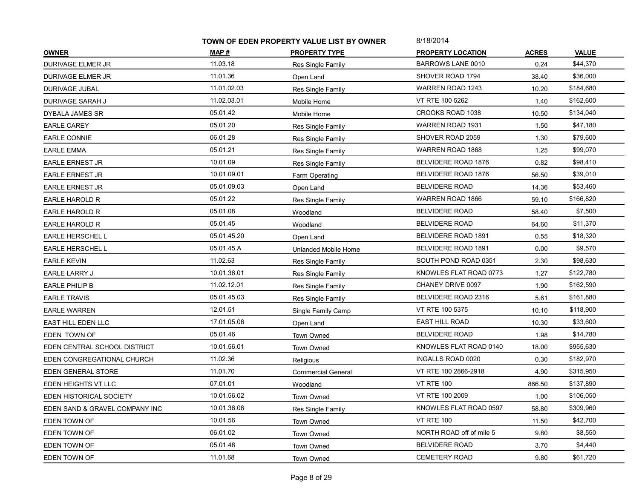|                                | TOWN OF EDEN PROPERTY VALUE LIST BY OWNER |                           | 8/18/2014                |              |              |
|--------------------------------|-------------------------------------------|---------------------------|--------------------------|--------------|--------------|
| <b>OWNER</b>                   | MAP #                                     | <b>PROPERTY TYPE</b>      | <b>PROPERTY LOCATION</b> | <b>ACRES</b> | <b>VALUE</b> |
| <b>DURIVAGE ELMER JR</b>       | 11.03.18                                  | Res Single Family         | <b>BARROWS LANE 0010</b> | 0.24         | \$44,370     |
| DURIVAGE ELMER JR              | 11.01.36                                  | Open Land                 | SHOVER ROAD 1794         | 38.40        | \$36,000     |
| DURIVAGE JUBAL                 | 11.01.02.03                               | Res Single Family         | <b>WARREN ROAD 1243</b>  | 10.20        | \$184,680    |
| DURIVAGE SARAH J               | 11.02.03.01                               | Mobile Home               | VT RTE 100 5262          | 1.40         | \$162,600    |
| DYBALA JAMES SR                | 05.01.42                                  | Mobile Home               | CROOKS ROAD 1038         | 10.50        | \$134,040    |
| <b>EARLE CAREY</b>             | 05.01.20                                  | Res Single Family         | <b>WARREN ROAD 1931</b>  | 1.50         | \$47,180     |
| <b>EARLE CONNIE</b>            | 06.01.28                                  | Res Single Family         | SHOVER ROAD 2059         | 1.30         | \$79,600     |
| <b>EARLE EMMA</b>              | 05.01.21                                  | Res Single Family         | WARREN ROAD 1868         | 1.25         | \$99,070     |
| <b>EARLE ERNEST JR</b>         | 10.01.09                                  | Res Single Family         | BELVIDERE ROAD 1876      | 0.82         | \$98,410     |
| <b>EARLE ERNEST JR</b>         | 10.01.09.01                               | Farm Operating            | BELVIDERE ROAD 1876      | 56.50        | \$39,010     |
| <b>EARLE ERNEST JR</b>         | 05.01.09.03                               | Open Land                 | <b>BELVIDERE ROAD</b>    | 14.36        | \$53,460     |
| EARLE HAROLD R                 | 05.01.22                                  | Res Single Family         | WARREN ROAD 1866         | 59.10        | \$166,820    |
| EARLE HAROLD R                 | 05.01.08                                  | Woodland                  | <b>BELVIDERE ROAD</b>    | 58.40        | \$7,500      |
| EARLE HAROLD R                 | 05.01.45                                  | Woodland                  | <b>BELVIDERE ROAD</b>    | 64.60        | \$11,370     |
| EARLE HERSCHEL L               | 05.01.45.20                               | Open Land                 | BELVIDERE ROAD 1891      | 0.55         | \$18,320     |
| EARLE HERSCHEL L               | 05.01.45.A                                | Unlanded Mobile Home      | BELVIDERE ROAD 1891      | 0.00         | \$9,570      |
| <b>EARLE KEVIN</b>             | 11.02.63                                  | Res Single Family         | SOUTH POND ROAD 0351     | 2.30         | \$98,630     |
| EARLE LARRY J                  | 10.01.36.01                               | Res Single Family         | KNOWLES FLAT ROAD 0773   | 1.27         | \$122,780    |
| EARLE PHILIP B                 | 11.02.12.01                               | Res Single Family         | CHANEY DRIVE 0097        | 1.90         | \$162,590    |
| <b>EARLE TRAVIS</b>            | 05.01.45.03                               | Res Single Family         | BELVIDERE ROAD 2316      | 5.61         | \$161,880    |
| <b>EARLE WARREN</b>            | 12.01.51                                  | Single Family Camp        | VT RTE 100 5375          | 10.10        | \$118,900    |
| EAST HILL EDEN LLC             | 17.01.05.06                               | Open Land                 | <b>EAST HILL ROAD</b>    | 10.30        | \$33,600     |
| EDEN TOWN OF                   | 05.01.46                                  | Town Owned                | <b>BELVIDERE ROAD</b>    | 1.98         | \$14,780     |
| EDEN CENTRAL SCHOOL DISTRICT   | 10.01.56.01                               | Town Owned                | KNOWLES FLAT ROAD 0140   | 18.00        | \$955,630    |
| EDEN CONGREGATIONAL CHURCH     | 11.02.36                                  | Religious                 | INGALLS ROAD 0020        | 0.30         | \$182,970    |
| EDEN GENERAL STORE             | 11.01.70                                  | <b>Commercial General</b> | VT RTE 100 2866-2918     | 4.90         | \$315,950    |
| EDEN HEIGHTS VT LLC            | 07.01.01                                  | Woodland                  | <b>VT RTE 100</b>        | 866.50       | \$137,890    |
| EDEN HISTORICAL SOCIETY        | 10.01.56.02                               | Town Owned                | VT RTE 100 2009          | 1.00         | \$106,050    |
| EDEN SAND & GRAVEL COMPANY INC | 10.01.36.06                               | Res Single Family         | KNOWLES FLAT ROAD 0597   | 58.80        | \$309,960    |
| EDEN TOWN OF                   | 10.01.56                                  | <b>Town Owned</b>         | <b>VT RTE 100</b>        | 11.50        | \$42,700     |
| EDEN TOWN OF                   | 06.01.02                                  | Town Owned                | NORTH ROAD off of mile 5 | 9.80         | \$8,550      |
| EDEN TOWN OF                   | 05.01.48                                  | <b>Town Owned</b>         | <b>BELVIDERE ROAD</b>    | 3.70         | \$4,440      |
| EDEN TOWN OF                   | 11.01.68                                  | Town Owned                | <b>CEMETERY ROAD</b>     | 9.80         | \$61,720     |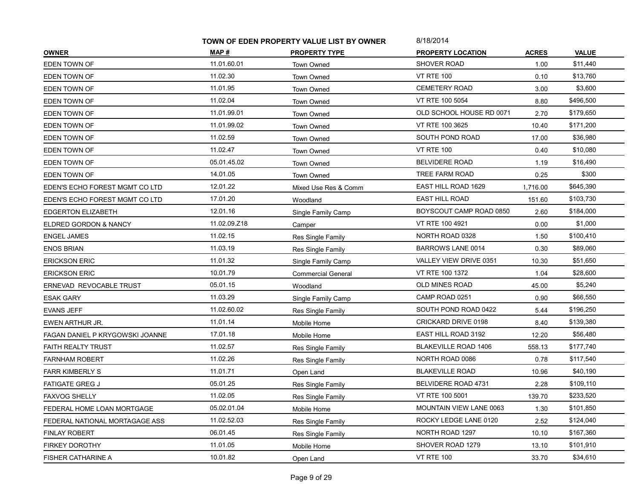|                                  | TOWN OF EDEN PROPERTY VALUE LIST BY OWNER |                           | 8/18/2014                   |              |              |
|----------------------------------|-------------------------------------------|---------------------------|-----------------------------|--------------|--------------|
| <b>OWNER</b>                     | MAP #                                     | <b>PROPERTY TYPE</b>      | <b>PROPERTY LOCATION</b>    | <b>ACRES</b> | <b>VALUE</b> |
| EDEN TOWN OF                     | 11.01.60.01                               | <b>Town Owned</b>         | <b>SHOVER ROAD</b>          | 1.00         | \$11,440     |
| EDEN TOWN OF                     | 11.02.30                                  | <b>Town Owned</b>         | <b>VT RTE 100</b>           | 0.10         | \$13,760     |
| EDEN TOWN OF                     | 11.01.95                                  | <b>Town Owned</b>         | <b>CEMETERY ROAD</b>        | 3.00         | \$3,600      |
| EDEN TOWN OF                     | 11.02.04                                  | Town Owned                | VT RTE 100 5054             | 8.80         | \$496,500    |
| EDEN TOWN OF                     | 11.01.99.01                               | Town Owned                | OLD SCHOOL HOUSE RD 0071    | 2.70         | \$179,650    |
| EDEN TOWN OF                     | 11.01.99.02                               | <b>Town Owned</b>         | VT RTE 100 3625             | 10.40        | \$171.200    |
| EDEN TOWN OF                     | 11.02.59                                  | <b>Town Owned</b>         | SOUTH POND ROAD             | 17.00        | \$36,980     |
| EDEN TOWN OF                     | 11.02.47                                  | <b>Town Owned</b>         | <b>VT RTE 100</b>           | 0.40         | \$10,080     |
| EDEN TOWN OF                     | 05.01.45.02                               | Town Owned                | <b>BELVIDERE ROAD</b>       | 1.19         | \$16,490     |
| EDEN TOWN OF                     | 14.01.05                                  | Town Owned                | TREE FARM ROAD              | 0.25         | \$300        |
| EDEN'S ECHO FOREST MGMT CO LTD   | 12.01.22                                  | Mixed Use Res & Comm      | EAST HILL ROAD 1629         | 1,716.00     | \$645,390    |
| EDEN'S ECHO FOREST MGMT CO LTD   | 17.01.20                                  | Woodland                  | <b>EAST HILL ROAD</b>       | 151.60       | \$103,730    |
| EDGERTON ELIZABETH               | 12.01.16                                  | Single Family Camp        | BOYSCOUT CAMP ROAD 0850     | 2.60         | \$184,000    |
| <b>ELDRED GORDON &amp; NANCY</b> | 11.02.09.Z18                              | Camper                    | VT RTE 100 4921             | 0.00         | \$1,000      |
| <b>ENGEL JAMES</b>               | 11.02.15                                  | Res Single Family         | NORTH ROAD 0328             | 1.50         | \$100,410    |
| ENOS BRIAN                       | 11.03.19                                  | Res Single Family         | <b>BARROWS LANE 0014</b>    | 0.30         | \$89,060     |
| <b>ERICKSON ERIC</b>             | 11.01.32                                  | Single Family Camp        | VALLEY VIEW DRIVE 0351      | 10.30        | \$51,650     |
| <b>ERICKSON ERIC</b>             | 10.01.79                                  | <b>Commercial General</b> | VT RTE 100 1372             | 1.04         | \$28,600     |
| ERNEVAD REVOCABLE TRUST          | 05.01.15                                  | Woodland                  | OLD MINES ROAD              | 45.00        | \$5,240      |
| <b>ESAK GARY</b>                 | 11.03.29                                  | Single Family Camp        | CAMP ROAD 0251              | 0.90         | \$66,550     |
| <b>EVANS JEFF</b>                | 11.02.60.02                               | Res Single Family         | SOUTH POND ROAD 0422        | 5.44         | \$196,250    |
| EWEN ARTHUR JR.                  | 11.01.14                                  | Mobile Home               | CRICKARD DRIVE 0198         | 8.40         | \$139,380    |
| FAGAN DANIEL P KRYGOWSKI JOANNE  | 17.01.18                                  | Mobile Home               | EAST HILL ROAD 3192         | 12.20        | \$56,480     |
| FAITH REALTY TRUST               | 11.02.57                                  | Res Single Family         | <b>BLAKEVILLE ROAD 1406</b> | 558.13       | \$177,740    |
| <b>FARNHAM ROBERT</b>            | 11.02.26                                  | Res Single Family         | NORTH ROAD 0086             | 0.78         | \$117,540    |
| <b>FARR KIMBERLY S</b>           | 11.01.71                                  | Open Land                 | <b>BLAKEVILLE ROAD</b>      | 10.96        | \$40,190     |
| <b>FATIGATE GREG J</b>           | 05.01.25                                  | Res Single Family         | BELVIDERE ROAD 4731         | 2.28         | \$109,110    |
| FAXVOG SHELLY                    | 11.02.05                                  | Res Single Family         | VT RTE 100 5001             | 139.70       | \$233,520    |
| FEDERAL HOME LOAN MORTGAGE       | 05.02.01.04                               | Mobile Home               | MOUNTAIN VIEW LANE 0063     | 1.30         | \$101,850    |
| FEDERAL NATIONAL MORTAGAGE ASS   | 11.02.52.03                               | Res Single Family         | ROCKY LEDGE LANE 0120       | 2.52         | \$124,040    |
| FINLAY ROBERT                    | 06.01.45                                  | Res Single Family         | NORTH ROAD 1297             | 10.10        | \$167,360    |
| <b>FIRKEY DOROTHY</b>            | 11.01.05                                  | Mobile Home               | SHOVER ROAD 1279            | 13.10        | \$101,910    |
| FISHER CATHARINE A               | 10.01.82                                  | Open Land                 | <b>VT RTE 100</b>           | 33.70        | \$34,610     |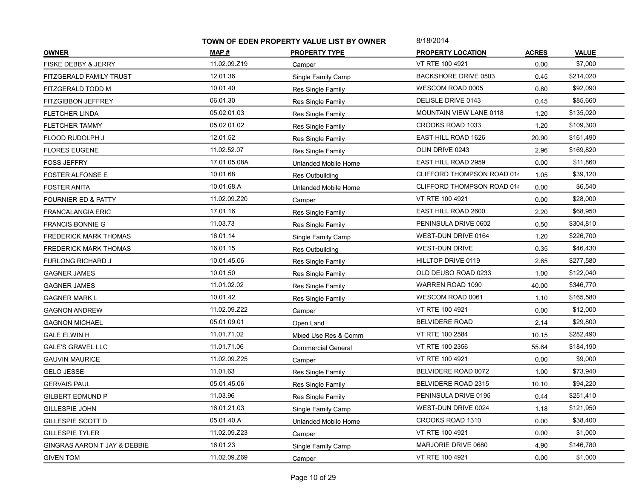|                                | TOWN OF EDEN PROPERTY VALUE LIST BY OWNER |                           | 8/18/2014                      |              |              |
|--------------------------------|-------------------------------------------|---------------------------|--------------------------------|--------------|--------------|
| <b>OWNER</b>                   | MAP #                                     | <b>PROPERTY TYPE</b>      | <b>PROPERTY LOCATION</b>       | <b>ACRES</b> | <b>VALUE</b> |
| FISKE DEBBY & JERRY            | 11.02.09.Z19                              | Camper                    | VT RTE 100 4921                | 0.00         | \$7,000      |
| FITZGERALD FAMILY TRUST        | 12.01.36                                  | Single Family Camp        | BACKSHORE DRIVE 0503           | 0.45         | \$214,020    |
| FITZGERALD TODD M              | 10.01.40                                  | Res Single Family         | WESCOM ROAD 0005               | 0.80         | \$92,090     |
| FITZGIBBON JEFFREY             | 06.01.30                                  | Res Single Family         | DELISLE DRIVE 0143             | 0.45         | \$85,660     |
| <b>FLETCHER LINDA</b>          | 05.02.01.03                               | Res Single Family         | <b>MOUNTAIN VIEW LANE 0118</b> | 1.20         | \$135,020    |
| <b>FLETCHER TAMMY</b>          | 05.02.01.02                               | Res Single Family         | CROOKS ROAD 1033               | 1.20         | \$109,300    |
| FLOOD RUDOLPH J                | 12.01.52                                  | Res Single Family         | EAST HILL ROAD 1626            | 20.90        | \$161,490    |
| <b>FLORES EUGENE</b>           | 11.02.52.07                               | Res Single Family         | OLIN DRIVE 0243                | 2.96         | \$169,820    |
| <b>FOSS JEFFRY</b>             | 17.01.05.08A                              | Unlanded Mobile Home      | EAST HILL ROAD 2959            | 0.00         | \$11,860     |
| <b>FOSTER ALFONSE E</b>        | 10.01.68                                  | Res Outbuilding           | CLIFFORD THOMPSON ROAD 014     | 1.05         | \$39,120     |
| FOSTER ANITA                   | 10.01.68.A                                | Unlanded Mobile Home      | CLIFFORD THOMPSON ROAD 014     | 0.00         | \$6,540      |
| <b>FOURNIER ED &amp; PATTY</b> | 11.02.09.Z20                              | Camper                    | VT RTE 100 4921                | 0.00         | \$28,000     |
| FRANCALANGIA ERIC              | 17.01.16                                  | Res Single Family         | EAST HILL ROAD 2600            | 2.20         | \$68,950     |
| <b>FRANCIS BONNIE G</b>        | 11.03.73                                  | Res Single Family         | PENINSULA DRIVE 0602           | 0.50         | \$304,810    |
| <b>FREDERICK MARK THOMAS</b>   | 16.01.14                                  | Single Family Camp        | WEST-DUN DRIVE 0164            | 1.20         | \$226,700    |
| FREDERICK MARK THOMAS          | 16.01.15                                  | <b>Res Outbuilding</b>    | <b>WEST-DUN DRIVE</b>          | 0.35         | \$46,430     |
| <b>FURLONG RICHARD J</b>       | 10.01.45.06                               | Res Single Family         | HILLTOP DRIVE 0119             | 2.65         | \$277,580    |
| <b>GAGNER JAMES</b>            | 10.01.50                                  | Res Single Family         | OLD DEUSO ROAD 0233            | 1.00         | \$122,040    |
| <b>GAGNER JAMES</b>            | 11.01.02.02                               | Res Single Family         | WARREN ROAD 1090               | 40.00        | \$346,770    |
| <b>GAGNER MARK L</b>           | 10.01.42                                  | Res Single Family         | WESCOM ROAD 0061               | 1.10         | \$165,580    |
| <b>GAGNON ANDREW</b>           | 11.02.09.Z22                              | Camper                    | VT RTE 100 4921                | 0.00         | \$12,000     |
| <b>GAGNON MICHAEL</b>          | 05.01.09.01                               | Open Land                 | <b>BELVIDERE ROAD</b>          | 2.14         | \$29,800     |
| <b>GALE ELWIN H</b>            | 11.01.71.02                               | Mixed Use Res & Comm      | VT RTE 100 2584                | 10.15        | \$282,490    |
| <b>GALE'S GRAVEL LLC</b>       | 11.01.71.06                               | <b>Commercial General</b> | VT RTE 100 2356                | 55.64        | \$184,190    |
| <b>GAUVIN MAURICE</b>          | 11.02.09.Z25                              | Camper                    | VT RTE 100 4921                | 0.00         | \$9,000      |
| <b>GELO JESSE</b>              | 11.01.63                                  | Res Single Family         | BELVIDERE ROAD 0072            | 1.00         | \$73,940     |
| <b>GERVAIS PAUL</b>            | 05.01.45.06                               | Res Single Family         | BELVIDERE ROAD 2315            | 10.10        | \$94,220     |
| <b>GILBERT EDMUND P</b>        | 11.03.96                                  | Res Single Family         | PENINSULA DRIVE 0195           | 0.44         | \$251,410    |
| <b>GILLESPIE JOHN</b>          | 16.01.21.03                               | Single Family Camp        | WEST-DUN DRIVE 0024            | 1.18         | \$121,950    |
| GILLESPIE SCOTT D              | 05.01.40.A                                | Unlanded Mobile Home      | CROOKS ROAD 1310               | 0.00         | \$38,400     |
| <b>GILLESPIE TYLER</b>         | 11.02.09.Z23                              | Camper                    | VT RTE 100 4921                | 0.00         | \$1,000      |
| GINGRAS AARON T JAY & DEBBIE   | 16.01.23                                  | Single Family Camp        | MARJORIE DRIVE 0680            | 4.90         | \$146,780    |
| <b>GIVEN TOM</b>               | 11.02.09.Z69                              | Camper                    | VT RTE 100 4921                | 0.00         | \$1,000      |
|                                |                                           |                           |                                |              |              |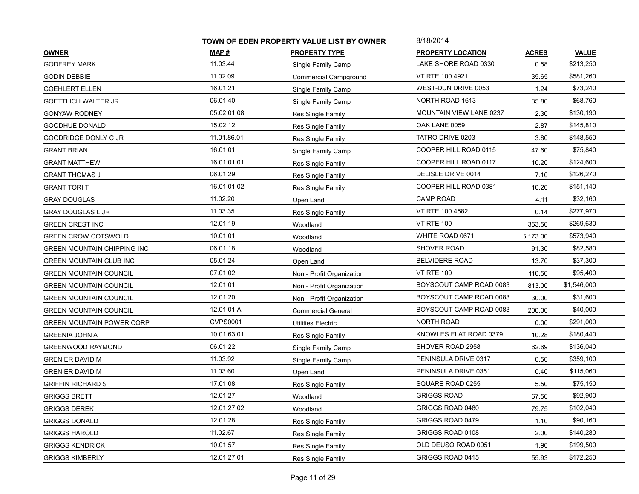|                                  | TOWN OF EDEN PROPERTY VALUE LIST BY OWNER |                           | 8/18/2014                      |              |              |
|----------------------------------|-------------------------------------------|---------------------------|--------------------------------|--------------|--------------|
| <b>OWNER</b>                     | MAP#                                      | <b>PROPERTY TYPE</b>      | <b>PROPERTY LOCATION</b>       | <b>ACRES</b> | <b>VALUE</b> |
| <b>GODFREY MARK</b>              | 11.03.44                                  | Single Family Camp        | LAKE SHORE ROAD 0330           | 0.58         | \$213,250    |
| <b>GODIN DEBBIE</b>              | 11.02.09                                  | Commercial Campground     | VT RTE 100 4921                | 35.65        | \$581,260    |
| <b>GOEHLERT ELLEN</b>            | 16.01.21                                  | Single Family Camp        | WEST-DUN DRIVE 0053            | 1.24         | \$73,240     |
| <b>GOETTLICH WALTER JR</b>       | 06.01.40                                  | Single Family Camp        | NORTH ROAD 1613                | 35.80        | \$68,760     |
| <b>GONYAW RODNEY</b>             | 05.02.01.08                               | Res Single Family         | <b>MOUNTAIN VIEW LANE 0237</b> | 2.30         | \$130,190    |
| GOODHUE DONALD                   | 15.02.12                                  | Res Single Family         | OAK LANE 0059                  | 2.87         | \$145,810    |
| GOODRIDGE DONLY C JR             | 11.01.86.01                               | Res Single Family         | TATRO DRIVE 0203               | 3.80         | \$148,550    |
| <b>GRANT BRIAN</b>               | 16.01.01                                  | Single Family Camp        | COOPER HILL ROAD 0115          | 47.60        | \$75,840     |
| <b>GRANT MATTHEW</b>             | 16.01.01.01                               | Res Single Family         | COOPER HILL ROAD 0117          | 10.20        | \$124,600    |
| <b>GRANT THOMAS J</b>            | 06.01.29                                  | Res Single Family         | DELISLE DRIVE 0014             | 7.10         | \$126,270    |
| <b>GRANT TORIT</b>               | 16.01.01.02                               | Res Single Family         | COOPER HILL ROAD 0381          | 10.20        | \$151,140    |
| <b>GRAY DOUGLAS</b>              | 11.02.20                                  | Open Land                 | <b>CAMP ROAD</b>               | 4.11         | \$32,160     |
| <b>GRAY DOUGLAS L JR</b>         | 11.03.35                                  | Res Single Family         | VT RTE 100 4582                | 0.14         | \$277,970    |
| <b>GREEN CREST INC</b>           | 12.01.19                                  | Woodland                  | <b>VT RTE 100</b>              | 353.50       | \$269,630    |
| <b>GREEN CROW COTSWOLD</b>       | 10.01.01                                  | Woodland                  | WHITE ROAD 0671                | 5,173.00     | \$573,940    |
| GREEN MOUNTAIN CHIPPING INC      | 06.01.18                                  | Woodland                  | SHOVER ROAD                    | 91.30        | \$82,580     |
| <b>GREEN MOUNTAIN CLUB INC</b>   | 05.01.24                                  | Open Land                 | <b>BELVIDERE ROAD</b>          | 13.70        | \$37,300     |
| <b>GREEN MOUNTAIN COUNCIL</b>    | 07.01.02                                  | Non - Profit Organization | <b>VT RTE 100</b>              | 110.50       | \$95,400     |
| <b>GREEN MOUNTAIN COUNCIL</b>    | 12.01.01                                  | Non - Profit Organization | BOYSCOUT CAMP ROAD 0083        | 813.00       | \$1,546,000  |
| <b>GREEN MOUNTAIN COUNCIL</b>    | 12.01.20                                  | Non - Profit Organization | BOYSCOUT CAMP ROAD 0083        | 30.00        | \$31,600     |
| <b>GREEN MOUNTAIN COUNCIL</b>    | 12.01.01.A                                | <b>Commercial General</b> | BOYSCOUT CAMP ROAD 0083        | 200.00       | \$40,000     |
| <b>GREEN MOUNTAIN POWER CORP</b> | <b>CVPS0001</b>                           | <b>Utilities Electric</b> | NORTH ROAD                     | 0.00         | \$291,000    |
| <b>GREENIA JOHN A</b>            | 10.01.63.01                               | Res Single Family         | KNOWLES FLAT ROAD 0379         | 10.28        | \$180,440    |
| GREENWOOD RAYMOND                | 06.01.22                                  | Single Family Camp        | SHOVER ROAD 2958               | 62.69        | \$136,040    |
| <b>GRENIER DAVID M</b>           | 11.03.92                                  | Single Family Camp        | PENINSULA DRIVE 0317           | 0.50         | \$359,100    |
| <b>GRENIER DAVID M</b>           | 11.03.60                                  | Open Land                 | PENINSULA DRIVE 0351           | 0.40         | \$115,060    |
| <b>GRIFFIN RICHARD S</b>         | 17.01.08                                  | Res Single Family         | SQUARE ROAD 0255               | 5.50         | \$75,150     |
| <b>GRIGGS BRETT</b>              | 12.01.27                                  | Woodland                  | <b>GRIGGS ROAD</b>             | 67.56        | \$92,900     |
| <b>GRIGGS DEREK</b>              | 12.01.27.02                               | Woodland                  | GRIGGS ROAD 0480               | 79.75        | \$102,040    |
| <b>GRIGGS DONALD</b>             | 12.01.28                                  | Res Single Family         | GRIGGS ROAD 0479               | 1.10         | \$90,160     |
| <b>GRIGGS HAROLD</b>             | 11.02.67                                  | Res Single Family         | GRIGGS ROAD 0108               | 2.00         | \$140,280    |
| <b>GRIGGS KENDRICK</b>           | 10.01.57                                  | Res Single Family         | OLD DEUSO ROAD 0051            | 1.90         | \$199,500    |
| <b>GRIGGS KIMBERLY</b>           | 12.01.27.01                               | Res Single Family         | GRIGGS ROAD 0415               | 55.93        | \$172,250    |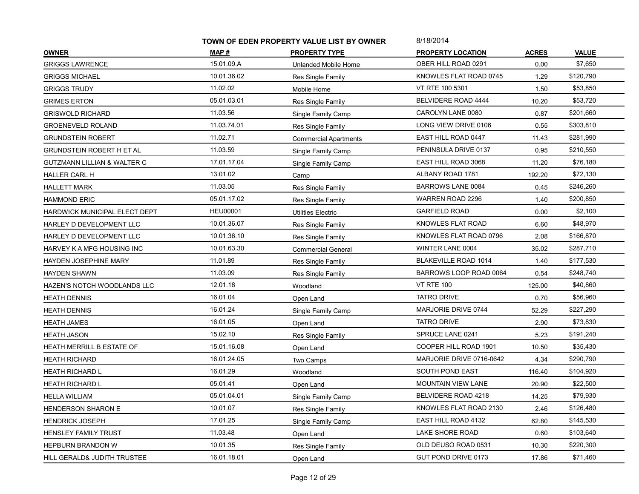|                                        | TOWN OF EDEN PROPERTY VALUE LIST BY OWNER |                              | 8/18/2014                   |              |              |
|----------------------------------------|-------------------------------------------|------------------------------|-----------------------------|--------------|--------------|
| <b>OWNER</b>                           | MAP #                                     | <b>PROPERTY TYPE</b>         | <b>PROPERTY LOCATION</b>    | <b>ACRES</b> | <b>VALUE</b> |
| <b>GRIGGS LAWRENCE</b>                 | 15.01.09.A                                | Unlanded Mobile Home         | OBER HILL ROAD 0291         | 0.00         | \$7,650      |
| <b>GRIGGS MICHAEL</b>                  | 10.01.36.02                               | Res Single Family            | KNOWLES FLAT ROAD 0745      | 1.29         | \$120,790    |
| <b>GRIGGS TRUDY</b>                    | 11.02.02                                  | Mobile Home                  | VT RTE 100 5301             | 1.50         | \$53,850     |
| <b>GRIMES ERTON</b>                    | 05.01.03.01                               | Res Single Family            | BELVIDERE ROAD 4444         | 10.20        | \$53,720     |
| <b>GRISWOLD RICHARD</b>                | 11.03.56                                  | Single Family Camp           | CAROLYN LANE 0080           | 0.87         | \$201,660    |
| <b>GROENEVELD ROLAND</b>               | 11.03.74.01                               | Res Single Family            | LONG VIEW DRIVE 0106        | 0.55         | \$303,810    |
| <b>GRUNDSTEIN ROBERT</b>               | 11.02.71                                  | <b>Commercial Apartments</b> | EAST HILL ROAD 0447         | 11.43        | \$281,990    |
| <b>GRUNDSTEIN ROBERT H ET AL</b>       | 11.03.59                                  | Single Family Camp           | PENINSULA DRIVE 0137        | 0.95         | \$210,550    |
| <b>GUTZMANN LILLIAN &amp; WALTER C</b> | 17.01.17.04                               | Single Family Camp           | EAST HILL ROAD 3068         | 11.20        | \$76,180     |
| HALLER CARL H                          | 13.01.02                                  | Camp                         | ALBANY ROAD 1781            | 192.20       | \$72,130     |
| <b>HALLETT MARK</b>                    | 11.03.05                                  | Res Single Family            | BARROWS LANE 0084           | 0.45         | \$246,260    |
| <b>HAMMOND ERIC</b>                    | 05.01.17.02                               | Res Single Family            | WARREN ROAD 2296            | 1.40         | \$200,850    |
| HARDWICK MUNICIPAL ELECT DEPT          | <b>HEU00001</b>                           | Utilities Electric           | <b>GARFIELD ROAD</b>        | 0.00         | \$2,100      |
| HARLEY D DEVELOPMENT LLC               | 10.01.36.07                               | Res Single Family            | KNOWLES FLAT ROAD           | 6.60         | \$48,970     |
| HARLEY D DEVELOPMENT LLC               | 10.01.36.10                               | Res Single Family            | KNOWLES FLAT ROAD 0796      | 2.08         | \$166,870    |
| HARVEY K A MFG HOUSING INC             | 10.01.63.30                               | <b>Commercial General</b>    | WINTER LANE 0004            | 35.02        | \$287,710    |
| <b>HAYDEN JOSEPHINE MARY</b>           | 11.01.89                                  | Res Single Family            | <b>BLAKEVILLE ROAD 1014</b> | 1.40         | \$177,530    |
| <b>HAYDEN SHAWN</b>                    | 11.03.09                                  | Res Single Family            | BARROWS LOOP ROAD 0064      | 0.54         | \$248,740    |
| HAZEN'S NOTCH WOODLANDS LLC            | 12.01.18                                  | Woodland                     | <b>VT RTE 100</b>           | 125.00       | \$40,860     |
| <b>HEATH DENNIS</b>                    | 16.01.04                                  | Open Land                    | <b>TATRO DRIVE</b>          | 0.70         | \$56,960     |
| <b>HEATH DENNIS</b>                    | 16.01.24                                  | Single Family Camp           | MARJORIE DRIVE 0744         | 52.29        | \$227,290    |
| <b>HEATH JAMES</b>                     | 16.01.05                                  | Open Land                    | <b>TATRO DRIVE</b>          | 2.90         | \$73,830     |
| <b>HEATH JASON</b>                     | 15.02.10                                  | Res Single Family            | SPRUCE LANE 0241            | 5.23         | \$191,240    |
| HEATH MERRILL B ESTATE OF              | 15.01.16.08                               | Open Land                    | COOPER HILL ROAD 1901       | 10.50        | \$35,430     |
| <b>HEATH RICHARD</b>                   | 16.01.24.05                               | Two Camps                    | MARJORIE DRIVE 0716-0642    | 4.34         | \$290,790    |
| <b>HEATH RICHARD L</b>                 | 16.01.29                                  | Woodland                     | <b>SOUTH POND EAST</b>      | 116.40       | \$104,920    |
| <b>HEATH RICHARD L</b>                 | 05.01.41                                  | Open Land                    | <b>MOUNTAIN VIEW LANE</b>   | 20.90        | \$22,500     |
| <b>HELLA WILLIAM</b>                   | 05.01.04.01                               | Single Family Camp           | BELVIDERE ROAD 4218         | 14.25        | \$79,930     |
| <b>HENDERSON SHARON E</b>              | 10.01.07                                  | Res Single Family            | KNOWLES FLAT ROAD 2130      | 2.46         | \$126,480    |
| <b>HENDRICK JOSEPH</b>                 | 17.01.25                                  | Single Family Camp           | EAST HILL ROAD 4132         | 62.80        | \$145,530    |
| <b>HENSLEY FAMILY TRUST</b>            | 11.03.48                                  | Open Land                    | LAKE SHORE ROAD             | 0.60         | \$103,640    |
| HEPBURN BRANDON W                      | 10.01.35                                  | Res Single Family            | OLD DEUSO ROAD 0531         | 10.30        | \$220,300    |
| HILL GERALD& JUDITH TRUSTEE            | 16.01.18.01                               | Open Land                    | GUT POND DRIVE 0173         | 17.86        | \$71,460     |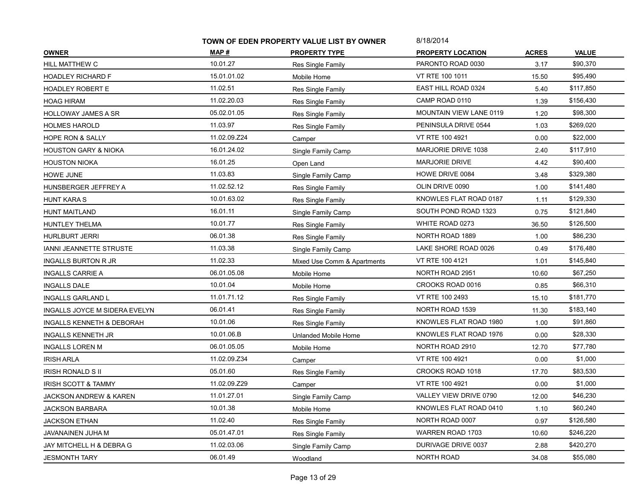|                                 | TOWN OF EDEN PROPERTY VALUE LIST BY OWNER |                             | 8/18/2014                |              |              |
|---------------------------------|-------------------------------------------|-----------------------------|--------------------------|--------------|--------------|
| <b>OWNER</b>                    | MAP #                                     | <b>PROPERTY TYPE</b>        | <b>PROPERTY LOCATION</b> | <b>ACRES</b> | <b>VALUE</b> |
| HILL MATTHEW C                  | 10.01.27                                  | Res Single Family           | PARONTO ROAD 0030        | 3.17         | \$90,370     |
| <b>HOADLEY RICHARD F</b>        | 15.01.01.02                               | Mobile Home                 | VT RTE 100 1011          | 15.50        | \$95,490     |
| <b>HOADLEY ROBERT E</b>         | 11.02.51                                  | Res Single Family           | EAST HILL ROAD 0324      | 5.40         | \$117,850    |
| <b>HOAG HIRAM</b>               | 11.02.20.03                               | Res Single Family           | CAMP ROAD 0110           | 1.39         | \$156,430    |
| <b>HOLLOWAY JAMES A SR</b>      | 05.02.01.05                               | Res Single Family           | MOUNTAIN VIEW LANE 0119  | 1.20         | \$98,300     |
| <b>HOLMES HAROLD</b>            | 11.03.97                                  | Res Single Family           | PENINSULA DRIVE 0544     | 1.03         | \$269,020    |
| HOPE RON & SALLY                | 11.02.09.Z24                              | Camper                      | VT RTE 100 4921          | 0.00         | \$22,000     |
| <b>HOUSTON GARY &amp; NIOKA</b> | 16.01.24.02                               | Single Family Camp          | MARJORIE DRIVE 1038      | 2.40         | \$117,910    |
| <b>HOUSTON NIOKA</b>            | 16.01.25                                  | Open Land                   | <b>MARJORIE DRIVE</b>    | 4.42         | \$90,400     |
| HOWE JUNE                       | 11.03.83                                  | Single Family Camp          | HOWE DRIVE 0084          | 3.48         | \$329,380    |
| HUNSBERGER JEFFREY A            | 11.02.52.12                               | Res Single Family           | OLIN DRIVE 0090          | 1.00         | \$141,480    |
| <b>HUNT KARA S</b>              | 10.01.63.02                               | Res Single Family           | KNOWLES FLAT ROAD 0187   | 1.11         | \$129,330    |
| <b>HUNT MAITLAND</b>            | 16.01.11                                  | Single Family Camp          | SOUTH POND ROAD 1323     | 0.75         | \$121,840    |
| HUNTLEY THELMA                  | 10.01.77                                  | Res Single Family           | WHITE ROAD 0273          | 36.50        | \$126,500    |
| <b>HURLBURT JERRI</b>           | 06.01.38                                  | Res Single Family           | NORTH ROAD 1889          | 1.00         | \$86,230     |
| IANNI JEANNETTE STRUSTE         | 11.03.38                                  | Single Family Camp          | LAKE SHORE ROAD 0026     | 0.49         | \$176,480    |
| INGALLS BURTON R JR             | 11.02.33                                  | Mixed Use Comm & Apartments | VT RTE 100 4121          | 1.01         | \$145,840    |
| <b>INGALLS CARRIE A</b>         | 06.01.05.08                               | Mobile Home                 | NORTH ROAD 2951          | 10.60        | \$67,250     |
| <b>INGALLS DALE</b>             | 10.01.04                                  | Mobile Home                 | CROOKS ROAD 0016         | 0.85         | \$66,310     |
| INGALLS GARLAND L               | 11.01.71.12                               | Res Single Family           | VT RTE 100 2493          | 15.10        | \$181,770    |
| INGALLS JOYCE M SIDERA EVELYN   | 06.01.41                                  | Res Single Family           | NORTH ROAD 1539          | 11.30        | \$183,140    |
| INGALLS KENNETH & DEBORAH       | 10.01.06                                  | Res Single Family           | KNOWLES FLAT ROAD 1980   | 1.00         | \$91,860     |
| INGALLS KENNETH JR              | 10.01.06.B                                | Unlanded Mobile Home        | KNOWLES FLAT ROAD 1976   | 0.00         | \$28,330     |
| <b>INGALLS LOREN M</b>          | 06.01.05.05                               | Mobile Home                 | NORTH ROAD 2910          | 12.70        | \$77,780     |
| <b>IRISH ARLA</b>               | 11.02.09.Z34                              | Camper                      | VT RTE 100 4921          | 0.00         | \$1,000      |
| <b>IRISH RONALD S II</b>        | 05.01.60                                  | Res Single Family           | CROOKS ROAD 1018         | 17.70        | \$83,530     |
| <b>IRISH SCOTT &amp; TAMMY</b>  | 11.02.09.Z29                              | Camper                      | VT RTE 100 4921          | 0.00         | \$1,000      |
| JACKSON ANDREW & KAREN          | 11.01.27.01                               | Single Family Camp          | VALLEY VIEW DRIVE 0790   | 12.00        | \$46,230     |
| <b>JACKSON BARBARA</b>          | 10.01.38                                  | Mobile Home                 | KNOWLES FLAT ROAD 0410   | 1.10         | \$60,240     |
| <b>JACKSON ETHAN</b>            | 11.02.40                                  | Res Single Family           | NORTH ROAD 0007          | 0.97         | \$126,580    |
| JAVANAINEN JUHA M               | 05.01.47.01                               | Res Single Family           | <b>WARREN ROAD 1703</b>  | 10.60        | \$246,220    |
| JAY MITCHELL H & DEBRA G        | 11.02.03.06                               | Single Family Camp          | DURIVAGE DRIVE 0037      | 2.88         | \$420,270    |
| <b>JESMONTH TARY</b>            | 06.01.49                                  | Woodland                    | NORTH ROAD               | 34.08        | \$55,080     |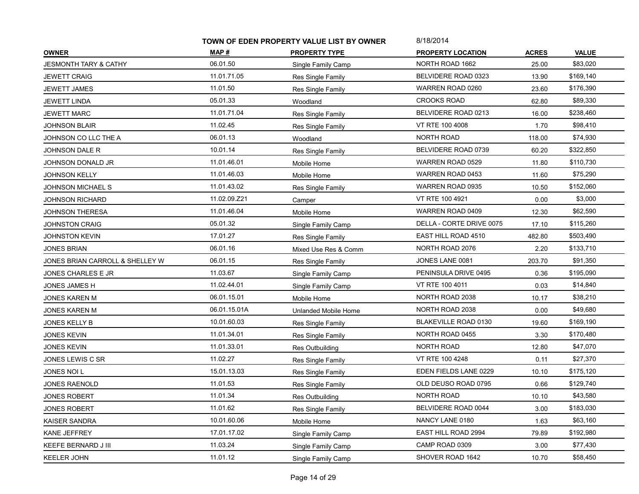|                                  | TOWN OF EDEN PROPERTY VALUE LIST BY OWNER |                      | 8/18/2014                  |              |              |
|----------------------------------|-------------------------------------------|----------------------|----------------------------|--------------|--------------|
| <b>OWNER</b>                     | MAP #                                     | <b>PROPERTY TYPE</b> | <b>PROPERTY LOCATION</b>   | <b>ACRES</b> | <b>VALUE</b> |
| <b>JESMONTH TARY &amp; CATHY</b> | 06.01.50                                  | Single Family Camp   | NORTH ROAD 1662            | 25.00        | \$83,020     |
| <b>JEWETT CRAIG</b>              | 11.01.71.05                               | Res Single Family    | BELVIDERE ROAD 0323        | 13.90        | \$169,140    |
| JEWETT JAMES                     | 11.01.50                                  | Res Single Family    | WARREN ROAD 0260           | 23.60        | \$176,390    |
| <b>JEWETT LINDA</b>              | 05.01.33                                  | Woodland             | <b>CROOKS ROAD</b>         | 62.80        | \$89,330     |
| <b>JEWETT MARC</b>               | 11.01.71.04                               | Res Single Family    | BELVIDERE ROAD 0213        | 16.00        | \$238,460    |
| <b>JOHNSON BLAIR</b>             | 11.02.45                                  | Res Single Family    | VT RTE 100 4008            | 1.70         | \$98,410     |
| JOHNSON CO LLC THE A             | 06.01.13                                  | Woodland             | NORTH ROAD                 | 118.00       | \$74,930     |
| JOHNSON DALE R                   | 10.01.14                                  | Res Single Family    | BELVIDERE ROAD 0739        | 60.20        | \$322,850    |
| JOHNSON DONALD JR                | 11.01.46.01                               | Mobile Home          | WARREN ROAD 0529           | 11.80        | \$110,730    |
| <b>JOHNSON KELLY</b>             | 11.01.46.03                               | Mobile Home          | WARREN ROAD 0453           | 11.60        | \$75,290     |
| <b>JOHNSON MICHAEL S</b>         | 11.01.43.02                               | Res Single Family    | WARREN ROAD 0935           | 10.50        | \$152,060    |
| JOHNSON RICHARD                  | 11.02.09.Z21                              | Camper               | VT RTE 100 4921            | 0.00         | \$3,000      |
| JOHNSON THERESA                  | 11.01.46.04                               | Mobile Home          | WARREN ROAD 0409           | 12.30        | \$62,590     |
| JOHNSTON CRAIG                   | 05.01.32                                  | Single Family Camp   | DELLA - CORTE DRIVE 0075   | 17.10        | \$115,260    |
| <b>JOHNSTON KEVIN</b>            | 17.01.27                                  | Res Single Family    | EAST HILL ROAD 4510        | 482.80       | \$503,490    |
| <b>JONES BRIAN</b>               | 06.01.16                                  | Mixed Use Res & Comm | NORTH ROAD 2076            | 2.20         | \$133,710    |
| JONES BRIAN CARROLL & SHELLEY W  | 06.01.15                                  | Res Single Family    | JONES LANE 0081            | 203.70       | \$91,350     |
| JONES CHARLES E JR               | 11.03.67                                  | Single Family Camp   | PENINSULA DRIVE 0495       | 0.36         | \$195,090    |
| JONES JAMES H                    | 11.02.44.01                               | Single Family Camp   | VT RTE 100 4011            | 0.03         | \$14,840     |
| <b>JONES KAREN M</b>             | 06.01.15.01                               | Mobile Home          | NORTH ROAD 2038            | 10.17        | \$38,210     |
| <b>JONES KAREN M</b>             | 06.01.15.01A                              | Unlanded Mobile Home | NORTH ROAD 2038            | 0.00         | \$49,680     |
| JONES KELLY B                    | 10.01.60.03                               | Res Single Family    | BLAKEVILLE ROAD 0130       | 19.60        | \$169,190    |
| JONES KEVIN                      | 11.01.34.01                               | Res Single Family    | NORTH ROAD 0455            | 3.30         | \$170,480    |
| JONES KEVIN                      | 11.01.33.01                               | Res Outbuilding      | NORTH ROAD                 | 12.80        | \$47,070     |
| JONES LEWIS C SR                 | 11.02.27                                  | Res Single Family    | VT RTE 100 4248            | 0.11         | \$27,370     |
| JONES NOI L                      | 15.01.13.03                               | Res Single Family    | EDEN FIELDS LANE 0229      | 10.10        | \$175,120    |
| <b>JONES RAENOLD</b>             | 11.01.53                                  | Res Single Family    | OLD DEUSO ROAD 0795        | 0.66         | \$129,740    |
| JONES ROBERT                     | 11.01.34                                  | Res Outbuilding      | NORTH ROAD                 | 10.10        | \$43,580     |
| <b>JONES ROBERT</b>              | 11.01.62                                  | Res Single Family    | BELVIDERE ROAD 0044        | 3.00         | \$183,030    |
| KAISER SANDRA                    | 10.01.60.06                               | Mobile Home          | NANCY LANE 0180            | 1.63         | \$63,160     |
| KANE JEFFREY                     | 17.01.17.02                               | Single Family Camp   | <b>EAST HILL ROAD 2994</b> | 79.89        | \$192,980    |
| KEEFE BERNARD J III              | 11.03.24                                  | Single Family Camp   | CAMP ROAD 0309             | 3.00         | \$77,430     |
| <b>KEELER JOHN</b>               | 11.01.12                                  | Single Family Camp   | SHOVER ROAD 1642           | 10.70        | \$58,450     |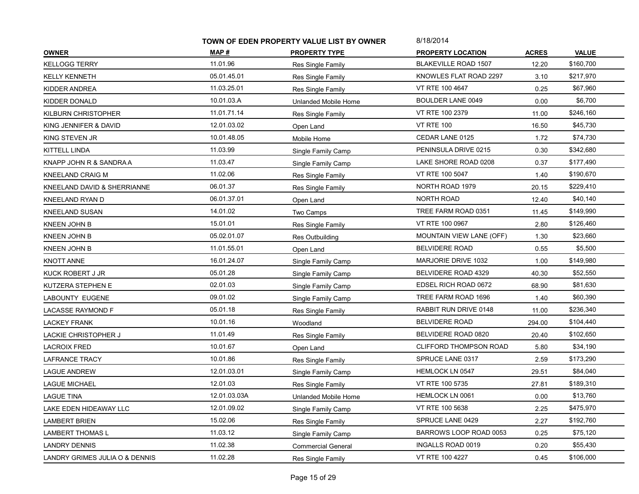|                                | TOWN OF EDEN PROPERTY VALUE LIST BY OWNER |                           | 8/18/2014                   |              |              |
|--------------------------------|-------------------------------------------|---------------------------|-----------------------------|--------------|--------------|
| <b>OWNER</b>                   | MAP #                                     | <b>PROPERTY TYPE</b>      | <b>PROPERTY LOCATION</b>    | <b>ACRES</b> | <b>VALUE</b> |
| <b>KELLOGG TERRY</b>           | 11.01.96                                  | Res Single Family         | <b>BLAKEVILLE ROAD 1507</b> | 12.20        | \$160,700    |
| <b>KELLY KENNETH</b>           | 05.01.45.01                               | Res Single Family         | KNOWLES FLAT ROAD 2297      | 3.10         | \$217,970    |
| KIDDER ANDREA                  | 11.03.25.01                               | Res Single Family         | VT RTE 100 4647             | 0.25         | \$67,960     |
| KIDDER DONALD                  | 10.01.03.A                                | Unlanded Mobile Home      | <b>BOULDER LANE 0049</b>    | 0.00         | \$6,700      |
| <b>KILBURN CHRISTOPHER</b>     | 11.01.71.14                               | Res Single Family         | VT RTE 100 2379             | 11.00        | \$246,160    |
| KING JENNIFER & DAVID          | 12.01.03.02                               | Open Land                 | <b>VT RTE 100</b>           | 16.50        | \$45,730     |
| KING STEVEN JR                 | 10.01.48.05                               | Mobile Home               | CEDAR LANE 0125             | 1.72         | \$74,730     |
| KITTELL LINDA                  | 11.03.99                                  | Single Family Camp        | PENINSULA DRIVE 0215        | 0.30         | \$342,680    |
| KNAPP JOHN R & SANDRA A        | 11.03.47                                  | Single Family Camp        | LAKE SHORE ROAD 0208        | 0.37         | \$177,490    |
| KNEELAND CRAIG M               | 11.02.06                                  | Res Single Family         | VT RTE 100 5047             | 1.40         | \$190,670    |
| KNEELAND DAVID & SHERRIANNE    | 06.01.37                                  | Res Single Family         | NORTH ROAD 1979             | 20.15        | \$229,410    |
| KNEELAND RYAN D                | 06.01.37.01                               | Open Land                 | NORTH ROAD                  | 12.40        | \$40,140     |
| <b>KNEELAND SUSAN</b>          | 14.01.02                                  | Two Camps                 | TREE FARM ROAD 0351         | 11.45        | \$149,990    |
| KNEEN JOHN B                   | 15.01.01                                  | Res Single Family         | VT RTE 100 0967             | 2.80         | \$126,460    |
| KNEEN JOHN B                   | 05.02.01.07                               | Res Outbuilding           | MOUNTAIN VIEW LANE (OFF)    | 1.30         | \$23,660     |
| KNEEN JOHN B                   | 11.01.55.01                               | Open Land                 | <b>BELVIDERE ROAD</b>       | 0.55         | \$5,500      |
| <b>KNOTT ANNE</b>              | 16.01.24.07                               | Single Family Camp        | MARJORIE DRIVE 1032         | 1.00         | \$149,980    |
| KUCK ROBERT J JR               | 05.01.28                                  | Single Family Camp        | BELVIDERE ROAD 4329         | 40.30        | \$52,550     |
| KUTZERA STEPHEN E              | 02.01.03                                  | Single Family Camp        | EDSEL RICH ROAD 0672        | 68.90        | \$81,630     |
| LABOUNTY EUGENE                | 09.01.02                                  | Single Family Camp        | TREE FARM ROAD 1696         | 1.40         | \$60,390     |
| <b>LACASSE RAYMOND F</b>       | 05.01.18                                  | Res Single Family         | RABBIT RUN DRIVE 0148       | 11.00        | \$236,340    |
| LACKEY FRANK                   | 10.01.16                                  | Woodland                  | <b>BELVIDERE ROAD</b>       | 294.00       | \$104,440    |
| LACKIE CHRISTOPHER J           | 11.01.49                                  | Res Single Family         | BELVIDERE ROAD 0820         | 20.40        | \$102,650    |
| <b>LACROIX FRED</b>            | 10.01.67                                  | Open Land                 | CLIFFORD THOMPSON ROAD      | 5.80         | \$34,190     |
| LAFRANCE TRACY                 | 10.01.86                                  | Res Single Family         | SPRUCE LANE 0317            | 2.59         | \$173,290    |
| LAGUE ANDREW                   | 12.01.03.01                               | Single Family Camp        | <b>HEMLOCK LN 0547</b>      | 29.51        | \$84,040     |
| <b>LAGUE MICHAEL</b>           | 12.01.03                                  | Res Single Family         | VT RTE 100 5735             | 27.81        | \$189,310    |
| LAGUE TINA                     | 12.01.03.03A                              | Unlanded Mobile Home      | HEMLOCK LN 0061             | 0.00         | \$13,760     |
| LAKE EDEN HIDEAWAY LLC         | 12.01.09.02                               | Single Family Camp        | VT RTE 100 5638             | 2.25         | \$475,970    |
| <b>LAMBERT BRIEN</b>           | 15.02.06                                  | Res Single Family         | SPRUCE LANE 0429            | 2.27         | \$192,760    |
| <b>LAMBERT THOMAS L</b>        | 11.03.12                                  | Single Family Camp        | BARROWS LOOP ROAD 0053      | 0.25         | \$75,120     |
| <b>LANDRY DENNIS</b>           | 11.02.38                                  | <b>Commercial General</b> | INGALLS ROAD 0019           | 0.20         | \$55,430     |
| LANDRY GRIMES JULIA O & DENNIS | 11.02.28                                  | Res Single Family         | VT RTE 100 4227             | 0.45         | \$106,000    |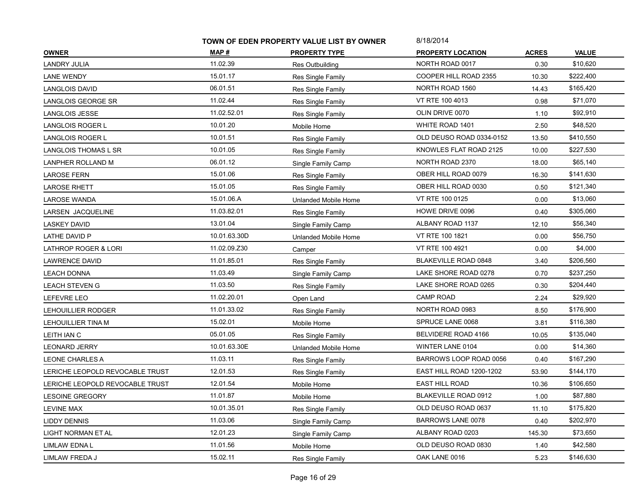|                                 | TOWN OF EDEN PROPERTY VALUE LIST BY OWNER |                      | 8/18/2014                |              |              |
|---------------------------------|-------------------------------------------|----------------------|--------------------------|--------------|--------------|
| <b>OWNER</b>                    | MAP #                                     | <b>PROPERTY TYPE</b> | <b>PROPERTY LOCATION</b> | <b>ACRES</b> | <b>VALUE</b> |
| <b>LANDRY JULIA</b>             | 11.02.39                                  | Res Outbuilding      | NORTH ROAD 0017          | 0.30         | \$10,620     |
| LANE WENDY                      | 15.01.17                                  | Res Single Family    | COOPER HILL ROAD 2355    | 10.30        | \$222,400    |
| <b>LANGLOIS DAVID</b>           | 06.01.51                                  | Res Single Family    | NORTH ROAD 1560          | 14.43        | \$165,420    |
| LANGLOIS GEORGE SR              | 11.02.44                                  | Res Single Family    | VT RTE 100 4013          | 0.98         | \$71,070     |
| LANGLOIS JESSE                  | 11.02.52.01                               | Res Single Family    | OLIN DRIVE 0070          | 1.10         | \$92,910     |
| LANGLOIS ROGER L                | 10.01.20                                  | Mobile Home          | WHITE ROAD 1401          | 2.50         | \$48,520     |
| LANGLOIS ROGER L                | 10.01.51                                  | Res Single Family    | OLD DEUSO ROAD 0334-0152 | 13.50        | \$410,550    |
| LANGLOIS THOMAS L SR            | 10.01.05                                  | Res Single Family    | KNOWLES FLAT ROAD 2125   | 10.00        | \$227,530    |
| LANPHER ROLLAND M               | 06.01.12                                  | Single Family Camp   | NORTH ROAD 2370          | 18.00        | \$65,140     |
| <b>LAROSE FERN</b>              | 15.01.06                                  | Res Single Family    | OBER HILL ROAD 0079      | 16.30        | \$141,630    |
| <b>LAROSE RHETT</b>             | 15.01.05                                  | Res Single Family    | OBER HILL ROAD 0030      | 0.50         | \$121,340    |
| <b>LAROSE WANDA</b>             | 15.01.06.A                                | Unlanded Mobile Home | VT RTE 100 0125          | 0.00         | \$13,060     |
| LARSEN JACQUELINE               | 11.03.82.01                               | Res Single Family    | HOWE DRIVE 0096          | 0.40         | \$305,060    |
| <b>LASKEY DAVID</b>             | 13.01.04                                  | Single Family Camp   | ALBANY ROAD 1137         | 12.10        | \$56,340     |
| LATHE DAVID P                   | 10.01.63.30D                              | Unlanded Mobile Home | VT RTE 100 1821          | 0.00         | \$56,750     |
| <b>LATHROP ROGER &amp; LORI</b> | 11.02.09.Z30                              | Camper               | VT RTE 100 4921          | 0.00         | \$4,000      |
| <b>LAWRENCE DAVID</b>           | 11.01.85.01                               | Res Single Family    | BLAKEVILLE ROAD 0848     | 3.40         | \$206,560    |
| <b>LEACH DONNA</b>              | 11.03.49                                  | Single Family Camp   | LAKE SHORE ROAD 0278     | 0.70         | \$237,250    |
| <b>LEACH STEVEN G</b>           | 11.03.50                                  | Res Single Family    | LAKE SHORE ROAD 0265     | 0.30         | \$204,440    |
| LEFEVRE LEO                     | 11.02.20.01                               | Open Land            | <b>CAMP ROAD</b>         | 2.24         | \$29,920     |
| LEHOUILLIER RODGER              | 11.01.33.02                               | Res Single Family    | NORTH ROAD 0983          | 8.50         | \$176,900    |
| LEHOUILLIER TINA M              | 15.02.01                                  | Mobile Home          | SPRUCE LANE 0068         | 3.81         | \$116,380    |
| LEITH IAN C                     | 05.01.05                                  | Res Single Family    | BELVIDERE ROAD 4166      | 10.05        | \$135,040    |
| <b>LEONARD JERRY</b>            | 10.01.63.30E                              | Unlanded Mobile Home | WINTER LANE 0104         | 0.00         | \$14,360     |
| LEONE CHARLES A                 | 11.03.11                                  | Res Single Family    | BARROWS LOOP ROAD 0056   | 0.40         | \$167,290    |
| LERICHE LEOPOLD REVOCABLE TRUST | 12.01.53                                  | Res Single Family    | EAST HILL ROAD 1200-1202 | 53.90        | \$144,170    |
| LERICHE LEOPOLD REVOCABLE TRUST | 12.01.54                                  | Mobile Home          | <b>EAST HILL ROAD</b>    | 10.36        | \$106,650    |
| LESOINE GREGORY                 | 11.01.87                                  | Mobile Home          | BLAKEVILLE ROAD 0912     | 1.00         | \$87,880     |
| LEVINE MAX                      | 10.01.35.01                               | Res Single Family    | OLD DEUSO ROAD 0637      | 11.10        | \$175,820    |
| LIDDY DENNIS                    | 11.03.06                                  | Single Family Camp   | <b>BARROWS LANE 0078</b> | 0.40         | \$202,970    |
| LIGHT NORMAN ET AL              | 12.01.23                                  | Single Family Camp   | ALBANY ROAD 0203         | 145.30       | \$73,650     |
| LIMLAW EDNA L                   | 11.01.56                                  | Mobile Home          | OLD DEUSO ROAD 0830      | 1.40         | \$42,580     |
| LIMLAW FREDA J                  | 15.02.11                                  | Res Single Family    | OAK LANE 0016            | 5.23         | \$146,630    |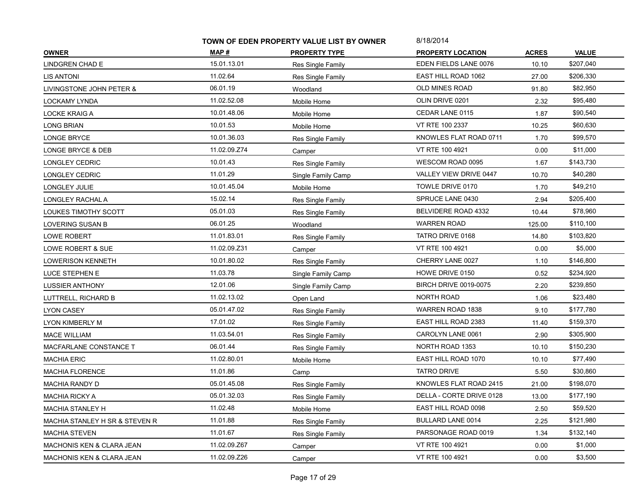|                                      | TOWN OF EDEN PROPERTY VALUE LIST BY OWNER |                      | 8/18/2014                    |              |              |
|--------------------------------------|-------------------------------------------|----------------------|------------------------------|--------------|--------------|
| <b>OWNER</b>                         | MAP #                                     | <b>PROPERTY TYPE</b> | <b>PROPERTY LOCATION</b>     | <b>ACRES</b> | <b>VALUE</b> |
| <b>LINDGREN CHAD E</b>               | 15.01.13.01                               | Res Single Family    | EDEN FIELDS LANE 0076        | 10.10        | \$207,040    |
| <b>LIS ANTONI</b>                    | 11.02.64                                  | Res Single Family    | EAST HILL ROAD 1062          | 27.00        | \$206,330    |
| LIVINGSTONE JOHN PETER &             | 06.01.19                                  | Woodland             | <b>OLD MINES ROAD</b>        | 91.80        | \$82,950     |
| LOCKAMY LYNDA                        | 11.02.52.08                               | Mobile Home          | OLIN DRIVE 0201              | 2.32         | \$95,480     |
| <b>LOCKE KRAIG A</b>                 | 10.01.48.06                               | Mobile Home          | CEDAR LANE 0115              | 1.87         | \$90,540     |
| <b>LONG BRIAN</b>                    | 10.01.53                                  | Mobile Home          | VT RTE 100 2337              | 10.25        | \$60,630     |
| LONGE BRYCE                          | 10.01.36.03                               | Res Single Family    | KNOWLES FLAT ROAD 0711       | 1.70         | \$99,570     |
| LONGE BRYCE & DEB                    | 11.02.09.Z74                              | Camper               | VT RTE 100 4921              | 0.00         | \$11,000     |
| LONGLEY CEDRIC                       | 10.01.43                                  | Res Single Family    | WESCOM ROAD 0095             | 1.67         | \$143,730    |
| LONGLEY CEDRIC                       | 11.01.29                                  | Single Family Camp   | VALLEY VIEW DRIVE 0447       | 10.70        | \$40,280     |
| LONGLEY JULIE                        | 10.01.45.04                               | Mobile Home          | TOWLE DRIVE 0170             | 1.70         | \$49,210     |
| LONGLEY RACHAL A                     | 15.02.14                                  | Res Single Family    | SPRUCE LANE 0430             | 2.94         | \$205,400    |
| LOUKES TIMOTHY SCOTT                 | 05.01.03                                  | Res Single Family    | BELVIDERE ROAD 4332          | 10.44        | \$78,960     |
| LOVERING SUSAN B                     | 06.01.25                                  | Woodland             | <b>WARREN ROAD</b>           | 125.00       | \$110,100    |
| LOWE ROBERT                          | 11.01.83.01                               | Res Single Family    | TATRO DRIVE 0168             | 14.80        | \$103,820    |
| LOWE ROBERT & SUE                    | 11.02.09.Z31                              | Camper               | VT RTE 100 4921              | 0.00         | \$5,000      |
| <b>LOWERISON KENNETH</b>             | 10.01.80.02                               | Res Single Family    | CHERRY LANE 0027             | 1.10         | \$146,800    |
| LUCE STEPHEN E                       | 11.03.78                                  | Single Family Camp   | HOWE DRIVE 0150              | 0.52         | \$234,920    |
| <b>LUSSIER ANTHONY</b>               | 12.01.06                                  | Single Family Camp   | <b>BIRCH DRIVE 0019-0075</b> | 2.20         | \$239,850    |
| LUTTRELL, RICHARD B                  | 11.02.13.02                               | Open Land            | <b>NORTH ROAD</b>            | 1.06         | \$23,480     |
| LYON CASEY                           | 05.01.47.02                               | Res Single Family    | <b>WARREN ROAD 1838</b>      | 9.10         | \$177,780    |
| LYON KIMBERLY M                      | 17.01.02                                  | Res Single Family    | EAST HILL ROAD 2383          | 11.40        | \$159,370    |
| <b>MACE WILLIAM</b>                  | 11.03.54.01                               | Res Single Family    | CAROLYN LANE 0061            | 2.90         | \$305,900    |
| MACFARLANE CONSTANCE T               | 06.01.44                                  | Res Single Family    | NORTH ROAD 1353              | 10.10        | \$150,230    |
| <b>MACHIA ERIC</b>                   | 11.02.80.01                               | Mobile Home          | EAST HILL ROAD 1070          | 10.10        | \$77,490     |
| <b>MACHIA FLORENCE</b>               | 11.01.86                                  | Camp                 | <b>TATRO DRIVE</b>           | 5.50         | \$30,860     |
| <b>MACHIA RANDY D</b>                | 05.01.45.08                               | Res Single Family    | KNOWLES FLAT ROAD 2415       | 21.00        | \$198,070    |
| MACHIA RICKY A                       | 05.01.32.03                               | Res Single Family    | DELLA - CORTE DRIVE 0128     | 13.00        | \$177,190    |
| <b>MACHIA STANLEY H</b>              | 11.02.48                                  | Mobile Home          | EAST HILL ROAD 0098          | 2.50         | \$59,520     |
| MACHIA STANLEY H SR & STEVEN R       | 11.01.88                                  | Res Single Family    | <b>BULLARD LANE 0014</b>     | 2.25         | \$121,980    |
| <b>MACHIA STEVEN</b>                 | 11.01.67                                  | Res Single Family    | PARSONAGE ROAD 0019          | 1.34         | \$132,140    |
| <b>MACHONIS KEN &amp; CLARA JEAN</b> | 11.02.09.Z67                              | Camper               | VT RTE 100 4921              | 0.00         | \$1,000      |
| <b>MACHONIS KEN &amp; CLARA JEAN</b> | 11.02.09.Z26                              | Camper               | VT RTE 100 4921              | 0.00         | \$3,500      |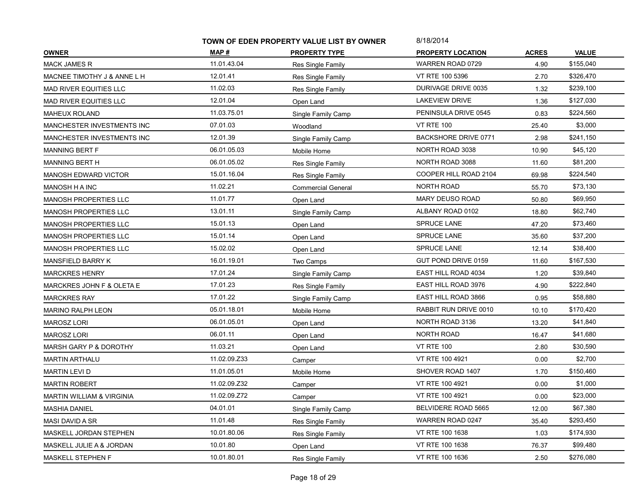|                               | TOWN OF EDEN PROPERTY VALUE LIST BY OWNER |                           | 8/18/2014                   |              |              |
|-------------------------------|-------------------------------------------|---------------------------|-----------------------------|--------------|--------------|
| <b>OWNER</b>                  | MAP #                                     | <b>PROPERTY TYPE</b>      | <b>PROPERTY LOCATION</b>    | <b>ACRES</b> | <b>VALUE</b> |
| <b>MACK JAMES R</b>           | 11.01.43.04                               | Res Single Family         | <b>WARREN ROAD 0729</b>     | 4.90         | \$155,040    |
| MACNEE TIMOTHY J & ANNE L H   | 12.01.41                                  | Res Single Family         | VT RTE 100 5396             | 2.70         | \$326,470    |
| <b>MAD RIVER EQUITIES LLC</b> | 11.02.03                                  | Res Single Family         | DURIVAGE DRIVE 0035         | 1.32         | \$239,100    |
| <b>MAD RIVER EQUITIES LLC</b> | 12.01.04                                  | Open Land                 | LAKEVIEW DRIVE              | 1.36         | \$127,030    |
| <b>MAHEUX ROLAND</b>          | 11.03.75.01                               | Single Family Camp        | PENINSULA DRIVE 0545        | 0.83         | \$224,560    |
| MANCHESTER INVESTMENTS INC    | 07.01.03                                  | Woodland                  | <b>VT RTE 100</b>           | 25.40        | \$3,000      |
| MANCHESTER INVESTMENTS INC    | 12.01.39                                  | Single Family Camp        | <b>BACKSHORE DRIVE 0771</b> | 2.98         | \$241,150    |
| MANNING BERT F                | 06.01.05.03                               | Mobile Home               | NORTH ROAD 3038             | 10.90        | \$45,120     |
| MANNING BERT H                | 06.01.05.02                               | Res Single Family         | NORTH ROAD 3088             | 11.60        | \$81,200     |
| <b>MANOSH EDWARD VICTOR</b>   | 15.01.16.04                               | Res Single Family         | COOPER HILL ROAD 2104       | 69.98        | \$224,540    |
| MANOSH H A INC                | 11.02.21                                  | <b>Commercial General</b> | NORTH ROAD                  | 55.70        | \$73,130     |
| MANOSH PROPERTIES LLC         | 11.01.77                                  | Open Land                 | <b>MARY DEUSO ROAD</b>      | 50.80        | \$69,950     |
| MANOSH PROPERTIES LLC         | 13.01.11                                  | Single Family Camp        | ALBANY ROAD 0102            | 18.80        | \$62,740     |
| MANOSH PROPERTIES LLC         | 15.01.13                                  | Open Land                 | SPRUCE LANE                 | 47.20        | \$73,460     |
| <b>MANOSH PROPERTIES LLC</b>  | 15.01.14                                  | Open Land                 | <b>SPRUCE LANE</b>          | 35.60        | \$37,200     |
| <b>MANOSH PROPERTIES LLC</b>  | 15.02.02                                  | Open Land                 | <b>SPRUCE LANE</b>          | 12.14        | \$38,400     |
| MANSFIELD BARRY K             | 16.01.19.01                               | Two Camps                 | GUT POND DRIVE 0159         | 11.60        | \$167,530    |
| <b>MARCKRES HENRY</b>         | 17.01.24                                  | Single Family Camp        | EAST HILL ROAD 4034         | 1.20         | \$39,840     |
| MARCKRES JOHN F & OLETA E     | 17.01.23                                  | Res Single Family         | EAST HILL ROAD 3976         | 4.90         | \$222,840    |
| <b>MARCKRES RAY</b>           | 17.01.22                                  | Single Family Camp        | EAST HILL ROAD 3866         | 0.95         | \$58,880     |
| <b>MARINO RALPH LEON</b>      | 05.01.18.01                               | Mobile Home               | RABBIT RUN DRIVE 0010       | 10.10        | \$170,420    |
| <b>MAROSZ LORI</b>            | 06.01.05.01                               | Open Land                 | NORTH ROAD 3136             | 13.20        | \$41,840     |
| <b>MAROSZ LORI</b>            | 06.01.11                                  | Open Land                 | <b>NORTH ROAD</b>           | 16.47        | \$41,680     |
| MARSH GARY P & DOROTHY        | 11.03.21                                  | Open Land                 | <b>VT RTE 100</b>           | 2.80         | \$30,590     |
| <b>MARTIN ARTHALU</b>         | 11.02.09.Z33                              | Camper                    | VT RTE 100 4921             | 0.00         | \$2,700      |
| MARTIN LEVI D                 | 11.01.05.01                               | Mobile Home               | SHOVER ROAD 1407            | 1.70         | \$150,460    |
| <b>MARTIN ROBERT</b>          | 11.02.09.Z32                              | Camper                    | VT RTE 100 4921             | 0.00         | \$1,000      |
| MARTIN WILLIAM & VIRGINIA     | 11.02.09.Z72                              | Camper                    | VT RTE 100 4921             | 0.00         | \$23,000     |
| <b>MASHIA DANIEL</b>          | 04.01.01                                  | Single Family Camp        | BELVIDERE ROAD 5665         | 12.00        | \$67,380     |
| <b>MASI DAVID A SR</b>        | 11.01.48                                  | Res Single Family         | WARREN ROAD 0247            | 35.40        | \$293,450    |
| MASKELL JORDAN STEPHEN        | 10.01.80.06                               | Res Single Family         | VT RTE 100 1638             | 1.03         | \$174,930    |
| MASKELL JULIE A & JORDAN      | 10.01.80                                  | Open Land                 | VT RTE 100 1638             | 76.37        | \$99,480     |
| MASKELL STEPHEN F             | 10.01.80.01                               | Res Single Family         | VT RTE 100 1636             | 2.50         | \$276,080    |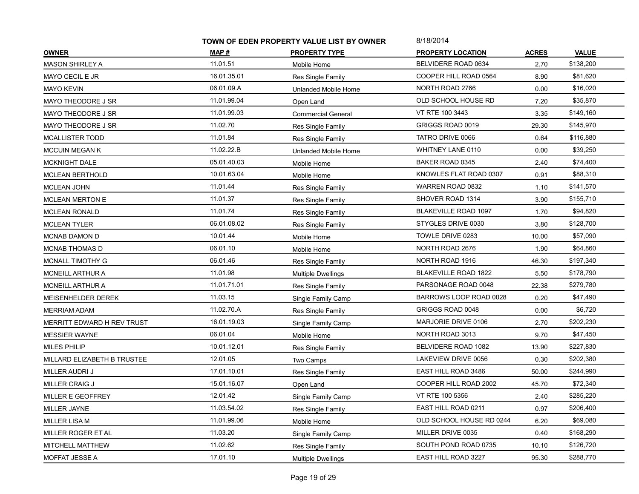|                             | TOWN OF EDEN PROPERTY VALUE LIST BY OWNER |                           | 8/18/2014                   |              |              |
|-----------------------------|-------------------------------------------|---------------------------|-----------------------------|--------------|--------------|
| <b>OWNER</b>                | MAP #                                     | <b>PROPERTY TYPE</b>      | <b>PROPERTY LOCATION</b>    | <b>ACRES</b> | <b>VALUE</b> |
| <b>MASON SHIRLEY A</b>      | 11.01.51                                  | Mobile Home               | BELVIDERE ROAD 0634         | 2.70         | \$138,200    |
| MAYO CECIL E JR             | 16.01.35.01                               | Res Single Family         | COOPER HILL ROAD 0564       | 8.90         | \$81,620     |
| <b>MAYO KEVIN</b>           | 06.01.09.A                                | Unlanded Mobile Home      | NORTH ROAD 2766             | 0.00         | \$16,020     |
| MAYO THEODORE J SR          | 11.01.99.04                               | Open Land                 | OLD SCHOOL HOUSE RD         | 7.20         | \$35,870     |
| MAYO THEODORE J SR          | 11.01.99.03                               | <b>Commercial General</b> | VT RTE 100 3443             | 3.35         | \$149,160    |
| MAYO THEODORE J SR          | 11.02.70                                  | Res Single Family         | GRIGGS ROAD 0019            | 29.30        | \$145,970    |
| MCALLISTER TODD             | 11.01.84                                  | Res Single Family         | TATRO DRIVE 0066            | 0.64         | \$116,880    |
| <b>MCCUIN MEGAN K</b>       | 11.02.22.B                                | Unlanded Mobile Home      | WHITNEY LANE 0110           | 0.00         | \$39,250     |
| <b>MCKNIGHT DALE</b>        | 05.01.40.03                               | Mobile Home               | BAKER ROAD 0345             | 2.40         | \$74,400     |
| <b>MCLEAN BERTHOLD</b>      | 10.01.63.04                               | Mobile Home               | KNOWLES FLAT ROAD 0307      | 0.91         | \$88,310     |
| <b>MCLEAN JOHN</b>          | 11.01.44                                  | Res Single Family         | WARREN ROAD 0832            | 1.10         | \$141,570    |
| <b>MCLEAN MERTON E</b>      | 11.01.37                                  | Res Single Family         | SHOVER ROAD 1314            | 3.90         | \$155,710    |
| <b>MCLEAN RONALD</b>        | 11.01.74                                  | Res Single Family         | <b>BLAKEVILLE ROAD 1097</b> | 1.70         | \$94,820     |
| <b>MCLEAN TYLER</b>         | 06.01.08.02                               | Res Single Family         | STYGLES DRIVE 0030          | 3.80         | \$128,700    |
| MCNAB DAMON D               | 10.01.44                                  | Mobile Home               | TOWLE DRIVE 0283            | 10.00        | \$57,090     |
| MCNAB THOMAS D              | 06.01.10                                  | Mobile Home               | NORTH ROAD 2676             | 1.90         | \$64,860     |
| <b>MCNALL TIMOTHY G</b>     | 06.01.46                                  | Res Single Family         | NORTH ROAD 1916             | 46.30        | \$197,340    |
| MCNEILL ARTHUR A            | 11.01.98                                  | <b>Multiple Dwellings</b> | <b>BLAKEVILLE ROAD 1822</b> | 5.50         | \$178,790    |
| <b>MCNEILL ARTHUR A</b>     | 11.01.71.01                               | Res Single Family         | PARSONAGE ROAD 0048         | 22.38        | \$279,780    |
| MEISENHELDER DEREK          | 11.03.15                                  | Single Family Camp        | BARROWS LOOP ROAD 0028      | 0.20         | \$47,490     |
| <b>MERRIAM ADAM</b>         | 11.02.70.A                                | Res Single Family         | GRIGGS ROAD 0048            | 0.00         | \$6,720      |
| MERRITT EDWARD H REV TRUST  | 16.01.19.03                               | Single Family Camp        | MARJORIE DRIVE 0106         | 2.70         | \$202,230    |
| <b>MESSIER WAYNE</b>        | 06.01.04                                  | Mobile Home               | NORTH ROAD 3013             | 9.70         | \$47,450     |
| <b>MILES PHILIP</b>         | 10.01.12.01                               | Res Single Family         | BELVIDERE ROAD 1082         | 13.90        | \$227,830    |
| MILLARD ELIZABETH B TRUSTEE | 12.01.05                                  | Two Camps                 | LAKEVIEW DRIVE 0056         | 0.30         | \$202,380    |
| MILLER AUDRI J              | 17.01.10.01                               | Res Single Family         | EAST HILL ROAD 3486         | 50.00        | \$244,990    |
| MILLER CRAIG J              | 15.01.16.07                               | Open Land                 | COOPER HILL ROAD 2002       | 45.70        | \$72,340     |
| MILLER E GEOFFREY           | 12.01.42                                  | Single Family Camp        | VT RTE 100 5356             | 2.40         | \$285,220    |
| MILLER JAYNE                | 11.03.54.02                               | Res Single Family         | EAST HILL ROAD 0211         | 0.97         | \$206,400    |
| MILLER LISA M               | 11.01.99.06                               | Mobile Home               | OLD SCHOOL HOUSE RD 0244    | 6.20         | \$69,080     |
| MILLER ROGER ET AL          | 11.03.20                                  | Single Family Camp        | MILLER DRIVE 0035           | 0.40         | \$168,290    |
| MITCHELL MATTHEW            | 11.02.62                                  | Res Single Family         | SOUTH POND ROAD 0735        | 10.10        | \$126,720    |
| MOFFAT JESSE A              | 17.01.10                                  | <b>Multiple Dwellings</b> | EAST HILL ROAD 3227         | 95.30        | \$288,770    |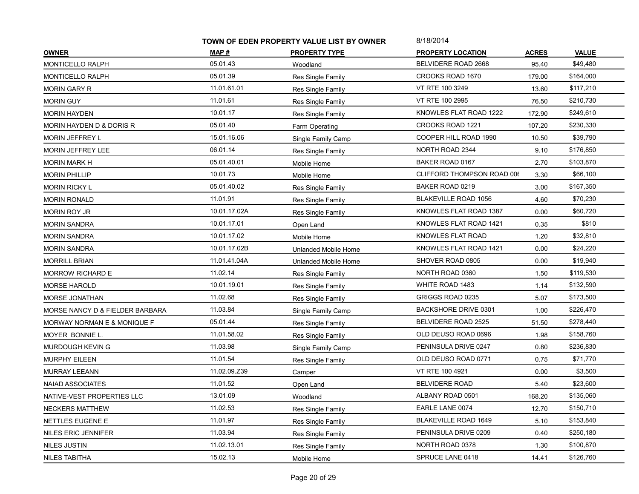|                                 | TOWN OF EDEN PROPERTY VALUE LIST BY OWNER |                      | 8/18/2014                   |              |              |
|---------------------------------|-------------------------------------------|----------------------|-----------------------------|--------------|--------------|
| <b>OWNER</b>                    | MAP#                                      | <b>PROPERTY TYPE</b> | <b>PROPERTY LOCATION</b>    | <b>ACRES</b> | <b>VALUE</b> |
| MONTICELLO RALPH                | 05.01.43                                  | Woodland             | BELVIDERE ROAD 2668         | 95.40        | \$49,480     |
| <b>MONTICELLO RALPH</b>         | 05.01.39                                  | Res Single Family    | CROOKS ROAD 1670            | 179.00       | \$164,000    |
| <b>MORIN GARY R</b>             | 11.01.61.01                               | Res Single Family    | VT RTE 100 3249             | 13.60        | \$117,210    |
| <b>MORIN GUY</b>                | 11.01.61                                  | Res Single Family    | VT RTE 100 2995             | 76.50        | \$210,730    |
| <b>MORIN HAYDEN</b>             | 10.01.17                                  | Res Single Family    | KNOWLES FLAT ROAD 1222      | 172.90       | \$249,610    |
| MORIN HAYDEN D & DORIS R        | 05.01.40                                  | Farm Operating       | <b>CROOKS ROAD 1221</b>     | 107.20       | \$230,330    |
| MORIN JEFFREY L                 | 15.01.16.06                               | Single Family Camp   | COOPER HILL ROAD 1990       | 10.50        | \$39,790     |
| MORIN JEFFREY LEE               | 06.01.14                                  | Res Single Family    | <b>NORTH ROAD 2344</b>      | 9.10         | \$176,850    |
| <b>MORIN MARK H</b>             | 05.01.40.01                               | Mobile Home          | BAKER ROAD 0167             | 2.70         | \$103,870    |
| <b>MORIN PHILLIP</b>            | 10.01.73                                  | Mobile Home          | CLIFFORD THOMPSON ROAD 006  | 3.30         | \$66,100     |
| <b>MORIN RICKY L</b>            | 05.01.40.02                               | Res Single Family    | BAKER ROAD 0219             | 3.00         | \$167,350    |
| <b>MORIN RONALD</b>             | 11.01.91                                  | Res Single Family    | <b>BLAKEVILLE ROAD 1056</b> | 4.60         | \$70,230     |
| <b>MORIN ROY JR</b>             | 10.01.17.02A                              | Res Single Family    | KNOWLES FLAT ROAD 1387      | 0.00         | \$60,720     |
| <b>MORIN SANDRA</b>             | 10.01.17.01                               | Open Land            | KNOWLES FLAT ROAD 1421      | 0.35         | \$810        |
| <b>MORIN SANDRA</b>             | 10.01.17.02                               | Mobile Home          | KNOWLES FLAT ROAD           | 1.20         | \$32,810     |
| <b>MORIN SANDRA</b>             | 10.01.17.02B                              | Unlanded Mobile Home | KNOWLES FLAT ROAD 1421      | 0.00         | \$24,220     |
| <b>MORRILL BRIAN</b>            | 11.01.41.04A                              | Unlanded Mobile Home | SHOVER ROAD 0805            | 0.00         | \$19,940     |
| MORROW RICHARD E                | 11.02.14                                  | Res Single Family    | NORTH ROAD 0360             | 1.50         | \$119,530    |
| <b>MORSE HAROLD</b>             | 10.01.19.01                               | Res Single Family    | WHITE ROAD 1483             | 1.14         | \$132,590    |
| MORSE JONATHAN                  | 11.02.68                                  | Res Single Family    | GRIGGS ROAD 0235            | 5.07         | \$173,500    |
| MORSE NANCY D & FIELDER BARBARA | 11.03.84                                  | Single Family Camp   | BACKSHORE DRIVE 0301        | 1.00         | \$226,470    |
| MORWAY NORMAN E & MONIQUE F     | 05.01.44                                  | Res Single Family    | BELVIDERE ROAD 2525         | 51.50        | \$278,440    |
| MOYER BONNIE L.                 | 11.01.58.02                               | Res Single Family    | OLD DEUSO ROAD 0696         | 1.98         | \$158,760    |
| MURDOUGH KEVIN G                | 11.03.98                                  | Single Family Camp   | PENINSULA DRIVE 0247        | 0.80         | \$236,830    |
| <b>MURPHY EILEEN</b>            | 11.01.54                                  | Res Single Family    | OLD DEUSO ROAD 0771         | 0.75         | \$71,770     |
| <b>MURRAY LEEANN</b>            | 11.02.09.Z39                              | Camper               | VT RTE 100 4921             | 0.00         | \$3,500      |
| <b>NAIAD ASSOCIATES</b>         | 11.01.52                                  | Open Land            | <b>BELVIDERE ROAD</b>       | 5.40         | \$23,600     |
| NATIVE-VEST PROPERTIES LLC      | 13.01.09                                  | Woodland             | ALBANY ROAD 0501            | 168.20       | \$135,060    |
| NECKERS MATTHEW                 | 11.02.53                                  | Res Single Family    | EARLE LANE 0074             | 12.70        | \$150,710    |
| NETTLES EUGENE E                | 11.01.97                                  | Res Single Family    | <b>BLAKEVILLE ROAD 1649</b> | 5.10         | \$153,840    |
| NILES ERIC JENNIFER             | 11.03.94                                  | Res Single Family    | PENINSULA DRIVE 0209        | 0.40         | \$250,180    |
| <b>NILES JUSTIN</b>             | 11.02.13.01                               | Res Single Family    | NORTH ROAD 0378             | 1.30         | \$100,870    |
| NILES TABITHA                   | 15.02.13                                  | Mobile Home          | SPRUCE LANE 0418            | 14.41        | \$126,760    |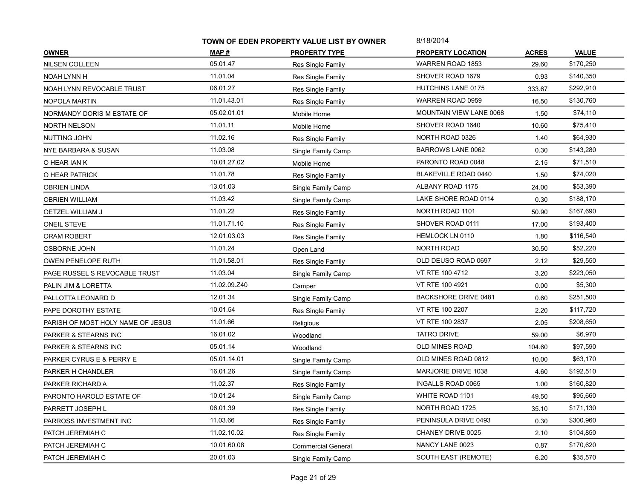|                                   | TOWN OF EDEN PROPERTY VALUE LIST BY OWNER |                           | 8/18/2014                      |              |              |
|-----------------------------------|-------------------------------------------|---------------------------|--------------------------------|--------------|--------------|
| <b>OWNER</b>                      | MAP #                                     | <b>PROPERTY TYPE</b>      | <b>PROPERTY LOCATION</b>       | <b>ACRES</b> | <b>VALUE</b> |
| <b>NILSEN COLLEEN</b>             | 05.01.47                                  | Res Single Family         | WARREN ROAD 1853               | 29.60        | \$170,250    |
| NOAH LYNN H                       | 11.01.04                                  | Res Single Family         | SHOVER ROAD 1679               | 0.93         | \$140,350    |
| NOAH LYNN REVOCABLE TRUST         | 06.01.27                                  | Res Single Family         | <b>HUTCHINS LANE 0175</b>      | 333.67       | \$292,910    |
| NOPOLA MARTIN                     | 11.01.43.01                               | Res Single Family         | WARREN ROAD 0959               | 16.50        | \$130,760    |
| NORMANDY DORIS M ESTATE OF        | 05.02.01.01                               | Mobile Home               | <b>MOUNTAIN VIEW LANE 0068</b> | 1.50         | \$74,110     |
| <b>NORTH NELSON</b>               | 11.01.11                                  | Mobile Home               | SHOVER ROAD 1640               | 10.60        | \$75,410     |
| NUTTING JOHN                      | 11.02.16                                  | Res Single Family         | NORTH ROAD 0326                | 1.40         | \$64,930     |
| NYE BARBARA & SUSAN               | 11.03.08                                  | Single Family Camp        | <b>BARROWS LANE 0062</b>       | 0.30         | \$143,280    |
| O HEAR IAN K                      | 10.01.27.02                               | Mobile Home               | PARONTO ROAD 0048              | 2.15         | \$71,510     |
| O HEAR PATRICK                    | 11.01.78                                  | Res Single Family         | <b>BLAKEVILLE ROAD 0440</b>    | 1.50         | \$74,020     |
| <b>OBRIEN LINDA</b>               | 13.01.03                                  | Single Family Camp        | ALBANY ROAD 1175               | 24.00        | \$53,390     |
| <b>OBRIEN WILLIAM</b>             | 11.03.42                                  | Single Family Camp        | LAKE SHORE ROAD 0114           | 0.30         | \$188,170    |
| OETZEL WILLIAM J                  | 11.01.22                                  | Res Single Family         | NORTH ROAD 1101                | 50.90        | \$167,690    |
| <b>ONEIL STEVE</b>                | 11.01.71.10                               | Res Single Family         | SHOVER ROAD 0111               | 17.00        | \$193,400    |
| ORAM ROBERT                       | 12.01.03.03                               | Res Single Family         | <b>HEMLOCK LN 0110</b>         | 1.80         | \$116,540    |
| <b>OSBORNE JOHN</b>               | 11.01.24                                  | Open Land                 | NORTH ROAD                     | 30.50        | \$52,220     |
| <b>OWEN PENELOPE RUTH</b>         | 11.01.58.01                               | Res Single Family         | OLD DEUSO ROAD 0697            | 2.12         | \$29,550     |
| PAGE RUSSEL S REVOCABLE TRUST     | 11.03.04                                  | Single Family Camp        | VT RTE 100 4712                | 3.20         | \$223,050    |
| PALIN JIM & LORETTA               | 11.02.09.Z40                              | Camper                    | VT RTE 100 4921                | 0.00         | \$5,300      |
| PALLOTTA LEONARD D                | 12.01.34                                  | Single Family Camp        | <b>BACKSHORE DRIVE 0481</b>    | 0.60         | \$251,500    |
| PAPE DOROTHY ESTATE               | 10.01.54                                  | Res Single Family         | VT RTE 100 2207                | 2.20         | \$117,720    |
| PARISH OF MOST HOLY NAME OF JESUS | 11.01.66                                  | Religious                 | VT RTE 100 2837                | 2.05         | \$208,650    |
| PARKER & STEARNS INC              | 16.01.02                                  | Woodland                  | <b>TATRO DRIVE</b>             | 59.00        | \$6,970      |
| PARKER & STEARNS INC              | 05.01.14                                  | Woodland                  | <b>OLD MINES ROAD</b>          | 104.60       | \$97,590     |
| PARKER CYRUS E & PERRY E          | 05.01.14.01                               | Single Family Camp        | OLD MINES ROAD 0812            | 10.00        | \$63,170     |
| PARKER H CHANDLER                 | 16.01.26                                  | Single Family Camp        | MARJORIE DRIVE 1038            | 4.60         | \$192,510    |
| PARKER RICHARD A                  | 11.02.37                                  | Res Single Family         | <b>INGALLS ROAD 0065</b>       | 1.00         | \$160,820    |
| PARONTO HAROLD ESTATE OF          | 10.01.24                                  | Single Family Camp        | WHITE ROAD 1101                | 49.50        | \$95,660     |
| PARRETT JOSEPH L                  | 06.01.39                                  | Res Single Family         | NORTH ROAD 1725                | 35.10        | \$171,130    |
| PARROSS INVESTMENT INC            | 11.03.66                                  | Res Single Family         | PENINSULA DRIVE 0493           | 0.30         | \$300,960    |
| PATCH JEREMIAH C                  | 11.02.10.02                               | Res Single Family         | CHANEY DRIVE 0025              | 2.10         | \$104,850    |
| PATCH JEREMIAH C                  | 10.01.60.08                               | <b>Commercial General</b> | NANCY LANE 0023                | 0.87         | \$170,620    |
| PATCH JEREMIAH C                  | 20.01.03                                  | Single Family Camp        | SOUTH EAST (REMOTE)            | 6.20         | \$35,570     |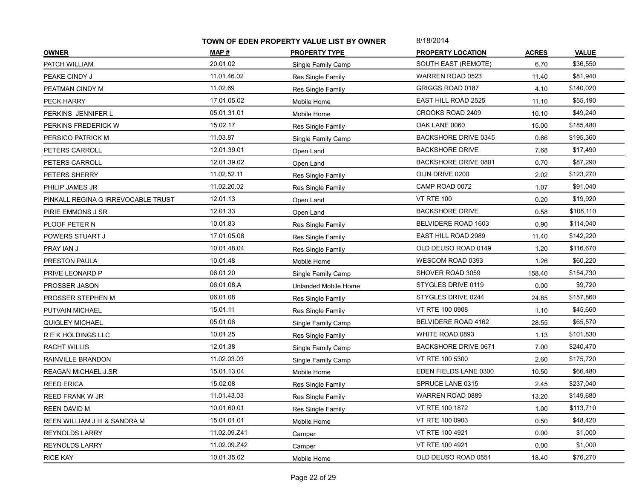|                                    | TOWN OF EDEN PROPERTY VALUE LIST BY OWNER |                          | 8/18/2014                   |              |              |
|------------------------------------|-------------------------------------------|--------------------------|-----------------------------|--------------|--------------|
| <b>OWNER</b>                       | MAP #                                     | <b>PROPERTY TYPE</b>     | <b>PROPERTY LOCATION</b>    | <b>ACRES</b> | <b>VALUE</b> |
| PATCH WILLIAM                      | 20.01.02                                  | Single Family Camp       | SOUTH EAST (REMOTE)         | 6.70         | \$36,550     |
| PEAKE CINDY J                      | 11.01.46.02                               | Res Single Family        | WARREN ROAD 0523            | 11.40        | \$81,940     |
| PEATMAN CINDY M                    | 11.02.69                                  | Res Single Family        | GRIGGS ROAD 0187            | 4.10         | \$140,020    |
| PECK HARRY                         | 17.01.05.02                               | Mobile Home              | <b>EAST HILL ROAD 2525</b>  | 11.10        | \$55,190     |
| PERKINS JENNIFER L                 | 05.01.31.01                               | Mobile Home              | CROOKS ROAD 2409            | 10.10        | \$49,240     |
| PERKINS FREDERICK W                | 15.02.17                                  | Res Single Family        | OAK LANE 0060               | 15.00        | \$185,480    |
| PERSICO PATRICK M                  | 11.03.87                                  | Single Family Camp       | <b>BACKSHORE DRIVE 0345</b> | 0.66         | \$195,360    |
| PETERS CARROLL                     | 12.01.39.01                               | Open Land                | <b>BACKSHORE DRIVE</b>      | 7.68         | \$17,490     |
| PETERS CARROLL                     | 12.01.39.02                               | Open Land                | <b>BACKSHORE DRIVE 0801</b> | 0.70         | \$87,290     |
| PETERS SHERRY                      | 11.02.52.11                               | Res Single Family        | OLIN DRIVE 0200             | 2.02         | \$123,270    |
| PHILIP JAMES JR                    | 11.02.20.02                               | Res Single Family        | CAMP ROAD 0072              | 1.07         | \$91,040     |
| PINKALL REGINA G IRREVOCABLE TRUST | 12.01.13                                  | Open Land                | <b>VT RTE 100</b>           | 0.20         | \$19,920     |
| PIRIE EMMONS J SR                  | 12.01.33                                  | Open Land                | <b>BACKSHORE DRIVE</b>      | 0.58         | \$108,110    |
| PLOOF PETER N                      | 10.01.83                                  | Res Single Family        | BELVIDERE ROAD 1603         | 0.90         | \$114,040    |
| POWERS STUART J                    | 17.01.05.08                               | Res Single Family        | EAST HILL ROAD 2989         | 11.40        | \$142,220    |
| PRAY IAN J                         | 10.01.48.04                               | Res Single Family        | OLD DEUSO ROAD 0149         | 1.20         | \$116,670    |
| PRESTON PAULA                      | 10.01.48                                  | Mobile Home              | WESCOM ROAD 0393            | 1.26         | \$60,220     |
| PRIVE LEONARD P                    | 06.01.20                                  | Single Family Camp       | SHOVER ROAD 3059            | 158.40       | \$154,730    |
| PROSSER JASON                      | 06.01.08.A                                | Unlanded Mobile Home     | STYGLES DRIVE 0119          | 0.00         | \$9,720      |
| PROSSER STEPHEN M                  | 06.01.08                                  | Res Single Family        | STYGLES DRIVE 0244          | 24.85        | \$157,860    |
| PUTVAIN MICHAEL                    | 15.01.11                                  | <b>Res Single Family</b> | VT RTE 100 0908             | 1.10         | \$45,660     |
| QUIGLEY MICHAEL                    | 05.01.06                                  | Single Family Camp       | BELVIDERE ROAD 4162         | 28.55        | \$65,570     |
| R E K HOLDINGS LLC                 | 10.01.25                                  | Res Single Family        | WHITE ROAD 0893             | 1.13         | \$101,830    |
| <b>RACHT WILLIS</b>                | 12.01.38                                  | Single Family Camp       | <b>BACKSHORE DRIVE 0671</b> | 7.00         | \$240,470    |
| RAINVILLE BRANDON                  | 11.02.03.03                               | Single Family Camp       | VT RTE 100 5300             | 2.60         | \$175,720    |
| <b>REAGAN MICHAEL J.SR</b>         | 15.01.13.04                               | Mobile Home              | EDEN FIELDS LANE 0300       | 10.50        | \$66,480     |
| <b>REED ERICA</b>                  | 15.02.08                                  | Res Single Family        | SPRUCE LANE 0315            | 2.45         | \$237,040    |
| REED FRANK W JR                    | 11.01.43.03                               | Res Single Family        | WARREN ROAD 0889            | 13.20        | \$149,680    |
| REEN DAVID M                       | 10.01.60.01                               | Res Single Family        | VT RTE 100 1872             | 1.00         | \$113,710    |
| REEN WILLIAM J III & SANDRA M      | 15.01.01.01                               | Mobile Home              | VT RTE 100 0903             | 0.50         | \$48,420     |
| <b>REYNOLDS LARRY</b>              | 11.02.09.Z41                              | Camper                   | VT RTE 100 4921             | 0.00         | \$1,000      |
| <b>REYNOLDS LARRY</b>              | 11.02.09.Z42                              | Camper                   | VT RTE 100 4921             | 0.00         | \$1,000      |
| <b>RICE KAY</b>                    | 10.01.35.02                               | Mobile Home              | OLD DEUSO ROAD 0551         | 18.40        | \$76,270     |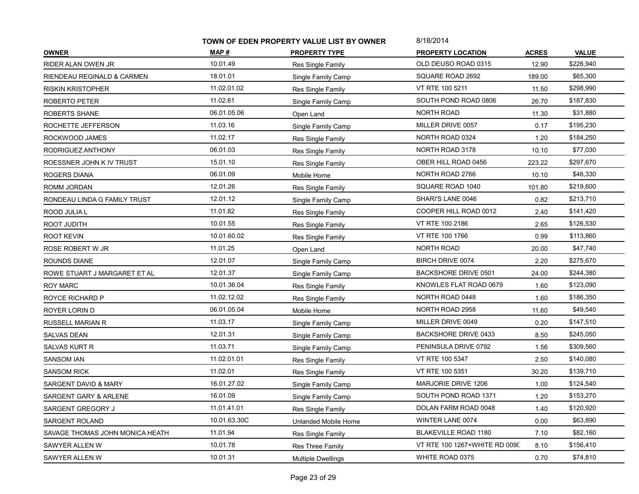|                                 | TOWN OF EDEN PROPERTY VALUE LIST BY OWNER |                           | 8/18/2014                     |              |              |
|---------------------------------|-------------------------------------------|---------------------------|-------------------------------|--------------|--------------|
| <b>OWNER</b>                    | MAP #                                     | <b>PROPERTY TYPE</b>      | <b>PROPERTY LOCATION</b>      | <b>ACRES</b> | <b>VALUE</b> |
| RIDER ALAN OWEN JR              | 10.01.49                                  | Res Single Family         | OLD DEUSO ROAD 0315           | 12.90        | \$226,940    |
| RIENDEAU REGINALD & CARMEN      | 18.01.01                                  | Single Family Camp        | SQUARE ROAD 2692              | 189.00       | \$65,300     |
| <b>RISKIN KRISTOPHER</b>        | 11.02.01.02                               | Res Single Family         | VT RTE 100 5211               | 11.50        | \$298,990    |
| ROBERTO PETER                   | 11.02.61                                  | Single Family Camp        | SOUTH POND ROAD 0806          | 26.70        | \$187,830    |
| ROBERTS SHANE                   | 06.01.05.06                               | Open Land                 | <b>NORTH ROAD</b>             | 11.30        | \$31,880     |
| ROCHETTE JEFFERSON              | 11.03.16                                  | Single Family Camp        | MILLER DRIVE 0057             | 0.17         | \$195,230    |
| ROCKWOOD JAMES                  | 11.02.17                                  | Res Single Family         | NORTH ROAD 0324               | 1.20         | \$184,250    |
| RODRIGUEZ ANTHONY               | 06.01.03                                  | Res Single Family         | NORTH ROAD 3178               | 10.10        | \$77,030     |
| ROESSNER JOHN K IV TRUST        | 15.01.10                                  | Res Single Family         | OBER HILL ROAD 0456           | 223.22       | \$297,670    |
| ROGERS DIANA                    | 06.01.09                                  | Mobile Home               | NORTH ROAD 2766               | 10.10        | \$46,330     |
| ROMM JORDAN                     | 12.01.26                                  | Res Single Family         | SQUARE ROAD 1040              | 101.80       | \$219,600    |
| RONDEAU LINDA G FAMILY TRUST    | 12.01.12                                  | Single Family Camp        | SHARI'S LANE 0046             | 0.82         | \$213,710    |
| ROOD JULIA L                    | 11.01.82                                  | Res Single Family         | COOPER HILL ROAD 0012         | 2.40         | \$141,420    |
| ROOT JUDITH                     | 10.01.55                                  | Res Single Family         | VT RTE 100 2186               | 2.65         | \$126,530    |
| <b>ROOT KEVIN</b>               | 10.01.60.02                               | Res Single Family         | VT RTE 100 1766               | 0.99         | \$113,860    |
| ROSE ROBERT W JR                | 11.01.25                                  | Open Land                 | NORTH ROAD                    | 20.00        | \$47,740     |
| ROUNDS DIANE                    | 12.01.07                                  | Single Family Camp        | <b>BIRCH DRIVE 0074</b>       | 2.20         | \$275,670    |
| ROWE STUART J MARGARET ET AL    | 12.01.37                                  | Single Family Camp        | <b>BACKSHORE DRIVE 0501</b>   | 24.00        | \$244,380    |
| ROY MARC                        | 10.01.36.04                               | Res Single Family         | KNOWLES FLAT ROAD 0679        | 1.60         | \$123,090    |
| ROYCE RICHARD P                 | 11.02.12.02                               | Res Single Family         | NORTH ROAD 0448               | 1.60         | \$186,350    |
| ROYER LORIN D                   | 06.01.05.04                               | Mobile Home               | NORTH ROAD 2958               | 11.60        | \$49,540     |
| <b>RUSSELL MARIAN R</b>         | 11.03.17                                  | Single Family Camp        | MILLER DRIVE 0049             | 0.20         | \$147,510    |
| <b>SALVAS DEAN</b>              | 12.01.31                                  | Single Family Camp        | BACKSHORE DRIVE 0433          | 8.50         | \$245,050    |
| SALVAS KURT R                   | 11.03.71                                  | Single Family Camp        | PENINSULA DRIVE 0792          | 1.56         | \$309,560    |
| SANSOM IAN                      | 11.02.01.01                               | Res Single Family         | VT RTE 100 5347               | 2.50         | \$140,080    |
| <b>SANSOM RICK</b>              | 11.02.01                                  | Res Single Family         | VT RTE 100 5351               | 30.20        | \$139,710    |
| SARGENT DAVID & MARY            | 16.01.27.02                               | Single Family Camp        | MARJORIE DRIVE 1206           | 1.00         | \$124,540    |
| SARGENT GARY & ARLENE           | 16.01.09                                  | Single Family Camp        | SOUTH POND ROAD 1371          | 1.20         | \$153,270    |
| SARGENT GREGORY J               | 11.01.41.01                               | Res Single Family         | DOLAN FARM ROAD 0048          | 1.40         | \$120,920    |
| <b>SARGENT ROLAND</b>           | 10.01.63.30C                              | Unlanded Mobile Home      | WINTER LANE 0074              | 0.00         | \$63,890     |
| SAVAGE THOMAS JOHN MONICA HEATH | 11.01.94                                  | Res Single Family         | <b>BLAKEVILLE ROAD 1180</b>   | 7.10         | \$82,160     |
| SAWYER ALLEN W                  | 10.01.78                                  | Res Three Family          | VT RTE 100 1267+WHITE RD 0090 | 8.10         | \$156,410    |
| SAWYER ALLEN W                  | 10.01.31                                  | <b>Multiple Dwellings</b> | WHITE ROAD 0375               | 0.70         | \$74,810     |
|                                 |                                           |                           |                               |              |              |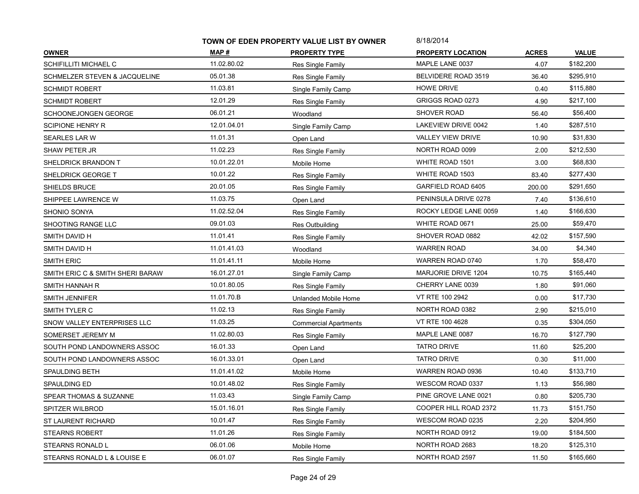|                                          | TOWN OF EDEN PROPERTY VALUE LIST BY OWNER |                              | 8/18/2014                |              |              |
|------------------------------------------|-------------------------------------------|------------------------------|--------------------------|--------------|--------------|
| <b>OWNER</b>                             | MAP #                                     | <b>PROPERTY TYPE</b>         | <b>PROPERTY LOCATION</b> | <b>ACRES</b> | <b>VALUE</b> |
| SCHIFILLITI MICHAEL C                    | 11.02.80.02                               | Res Single Family            | MAPLE LANE 0037          | 4.07         | \$182,200    |
| <b>SCHMELZER STEVEN &amp; JACQUELINE</b> | 05.01.38                                  | Res Single Family            | BELVIDERE ROAD 3519      | 36.40        | \$295,910    |
| SCHMIDT ROBERT                           | 11.03.81                                  | Single Family Camp           | <b>HOWE DRIVE</b>        | 0.40         | \$115,880    |
| <b>SCHMIDT ROBERT</b>                    | 12.01.29                                  | Res Single Family            | GRIGGS ROAD 0273         | 4.90         | \$217,100    |
| SCHOONEJONGEN GEORGE                     | 06.01.21                                  | Woodland                     | <b>SHOVER ROAD</b>       | 56.40        | \$56,400     |
| <b>SCIPIONE HENRY R</b>                  | 12.01.04.01                               | Single Family Camp           | LAKEVIEW DRIVE 0042      | 1.40         | \$287,510    |
| SEARLES LAR W                            | 11.01.31                                  | Open Land                    | <b>VALLEY VIEW DRIVE</b> | 10.90        | \$31,830     |
| SHAW PETER JR                            | 11.02.23                                  | Res Single Family            | NORTH ROAD 0099          | 2.00         | \$212,530    |
| SHELDRICK BRANDON T                      | 10.01.22.01                               | Mobile Home                  | WHITE ROAD 1501          | 3.00         | \$68,830     |
| SHELDRICK GEORGE T                       | 10.01.22                                  | Res Single Family            | WHITE ROAD 1503          | 83.40        | \$277,430    |
| SHIELDS BRUCE                            | 20.01.05                                  | Res Single Family            | GARFIELD ROAD 6405       | 200.00       | \$291,650    |
| SHIPPEE LAWRENCE W                       | 11.03.75                                  | Open Land                    | PENINSULA DRIVE 0278     | 7.40         | \$136,610    |
| SHONIO SONYA                             | 11.02.52.04                               | Res Single Family            | ROCKY LEDGE LANE 0059    | 1.40         | \$166,630    |
| SHOOTING RANGE LLC                       | 09.01.03                                  | Res Outbuilding              | WHITE ROAD 0671          | 25.00        | \$59,470     |
| SMITH DAVID H                            | 11.01.41                                  | Res Single Family            | SHOVER ROAD 0882         | 42.02        | \$157,590    |
| SMITH DAVID H                            | 11.01.41.03                               | Woodland                     | <b>WARREN ROAD</b>       | 34.00        | \$4,340      |
| <b>SMITH ERIC</b>                        | 11.01.41.11                               | Mobile Home                  | <b>WARREN ROAD 0740</b>  | 1.70         | \$58,470     |
| SMITH ERIC C & SMITH SHERI BARAW         | 16.01.27.01                               | Single Family Camp           | MARJORIE DRIVE 1204      | 10.75        | \$165,440    |
| SMITH HANNAH R                           | 10.01.80.05                               | Res Single Family            | CHERRY LANE 0039         | 1.80         | \$91,060     |
| <b>SMITH JENNIFER</b>                    | 11.01.70 B                                | Unlanded Mobile Home         | VT RTE 100 2942          | 0.00         | \$17,730     |
| SMITH TYLER C                            | 11.02.13                                  | Res Single Family            | NORTH ROAD 0382          | 2.90         | \$215,010    |
| SNOW VALLEY ENTERPRISES LLC              | 11.03.25                                  | <b>Commercial Apartments</b> | VT RTE 100 4628          | 0.35         | \$304,050    |
| SOMERSET JEREMY M                        | 11.02.80.03                               | Res Single Family            | MAPLE LANE 0087          | 16.70        | \$127,790    |
| SOUTH POND LANDOWNERS ASSOC              | 16.01.33                                  | Open Land                    | <b>TATRO DRIVE</b>       | 11.60        | \$25,200     |
| SOUTH POND LANDOWNERS ASSOC              | 16.01.33.01                               | Open Land                    | <b>TATRO DRIVE</b>       | 0.30         | \$11,000     |
| SPAULDING BETH                           | 11.01.41.02                               | Mobile Home                  | <b>WARREN ROAD 0936</b>  | 10.40        | \$133,710    |
| SPAULDING ED                             | 10.01.48.02                               | Res Single Family            | WESCOM ROAD 0337         | 1.13         | \$56,980     |
| SPEAR THOMAS & SUZANNE                   | 11.03.43                                  | Single Family Camp           | PINE GROVE LANE 0021     | 0.80         | \$205,730    |
| SPITZER WILBROD                          | 15.01.16.01                               | Res Single Family            | COOPER HILL ROAD 2372    | 11.73        | \$151,750    |
| <b>ST LAURENT RICHARD</b>                | 10.01.47                                  | Res Single Family            | WESCOM ROAD 0235         | 2.20         | \$204,950    |
| <b>STEARNS ROBERT</b>                    | 11.01.26                                  | Res Single Family            | NORTH ROAD 0912          | 19.00        | \$184,500    |
| <b>STEARNS RONALD L</b>                  | 06.01.06                                  | Mobile Home                  | NORTH ROAD 2683          | 18.20        | \$125,310    |
| STEARNS RONALD L & LOUISE E              | 06.01.07                                  | Res Single Family            | NORTH ROAD 2597          | 11.50        | \$165,660    |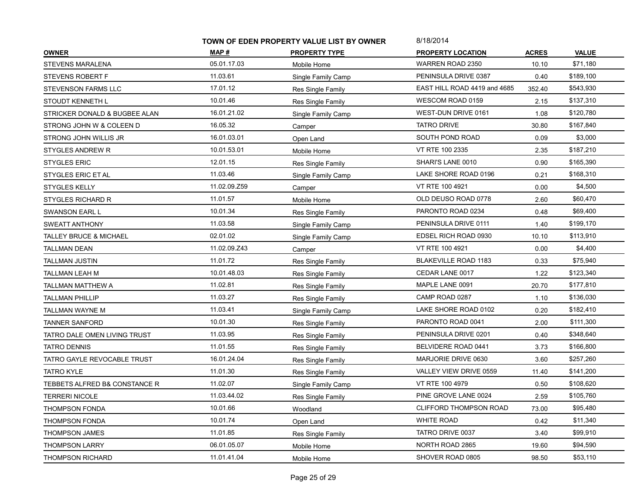|                                   | TOWN OF EDEN PROPERTY VALUE LIST BY OWNER |                      | 8/18/2014                     |              |              |
|-----------------------------------|-------------------------------------------|----------------------|-------------------------------|--------------|--------------|
| <b>OWNER</b>                      | MAP#                                      | <b>PROPERTY TYPE</b> | <b>PROPERTY LOCATION</b>      | <b>ACRES</b> | <b>VALUE</b> |
| STEVENS MARALENA                  | 05.01.17.03                               | Mobile Home          | WARREN ROAD 2350              | 10.10        | \$71,180     |
| STEVENS ROBERT F                  | 11.03.61                                  | Single Family Camp   | PENINSULA DRIVE 0387          | 0.40         | \$189,100    |
| STEVENSON FARMS LLC               | 17.01.12                                  | Res Single Family    | EAST HILL ROAD 4419 and 4685  | 352.40       | \$543,930    |
| STOUDT KENNETH L                  | 10.01.46                                  | Res Single Family    | WESCOM ROAD 0159              | 2.15         | \$137,310    |
| STRICKER DONALD & BUGBEE ALAN     | 16.01.21.02                               | Single Family Camp   | WEST-DUN DRIVE 0161           | 1.08         | \$120,780    |
| STRONG JOHN W & COLEEN D          | 16.05.32                                  | Camper               | <b>TATRO DRIVE</b>            | 30.80        | \$167,840    |
| STRONG JOHN WILLIS JR             | 16.01.03.01                               | Open Land            | SOUTH POND ROAD               | 0.09         | \$3,000      |
| <b>STYGLES ANDREW R</b>           | 10.01.53.01                               | Mobile Home          | VT RTE 100 2335               | 2.35         | \$187,210    |
| <b>STYGLES ERIC</b>               | 12.01.15                                  | Res Single Family    | SHARI'S LANE 0010             | 0.90         | \$165,390    |
| STYGLES ERIC ET AL                | 11.03.46                                  | Single Family Camp   | LAKE SHORE ROAD 0196          | 0.21         | \$168,310    |
| <b>STYGLES KELLY</b>              | 11.02.09.Z59                              | Camper               | VT RTE 100 4921               | 0.00         | \$4,500      |
| <b>STYGLES RICHARD R</b>          | 11.01.57                                  | Mobile Home          | OLD DEUSO ROAD 0778           | 2.60         | \$60,470     |
| <b>SWANSON EARL L</b>             | 10.01.34                                  | Res Single Family    | PARONTO ROAD 0234             | 0.48         | \$69,400     |
| SWEATT ANTHONY                    | 11.03.58                                  | Single Family Camp   | PENINSULA DRIVE 0111          | 1.40         | \$199,170    |
| <b>TALLEY BRUCE &amp; MICHAEL</b> | 02.01.02                                  | Single Family Camp   | EDSEL RICH ROAD 0930          | 10.10        | \$113,910    |
| TALLMAN DEAN                      | 11.02.09.Z43                              | Camper               | VT RTE 100 4921               | 0.00         | \$4,400      |
| <b>TALLMAN JUSTIN</b>             | 11.01.72                                  | Res Single Family    | <b>BLAKEVILLE ROAD 1183</b>   | 0.33         | \$75,940     |
| TALLMAN LEAH M                    | 10.01.48.03                               | Res Single Family    | CEDAR LANE 0017               | 1.22         | \$123,340    |
| TALLMAN MATTHEW A                 | 11.02.81                                  | Res Single Family    | MAPLE LANE 0091               | 20.70        | \$177,810    |
| <b>TALLMAN PHILLIP</b>            | 11.03.27                                  | Res Single Family    | CAMP ROAD 0287                | 1.10         | \$136,030    |
| TALLMAN WAYNE M                   | 11.03.41                                  | Single Family Camp   | LAKE SHORE ROAD 0102          | 0.20         | \$182,410    |
| <b>TANNER SANFORD</b>             | 10.01.30                                  | Res Single Family    | PARONTO ROAD 0041             | 2.00         | \$111,300    |
| TATRO DALE OMEN LIVING TRUST      | 11.03.95                                  | Res Single Family    | PENINSULA DRIVE 0201          | 0.40         | \$348,640    |
| <b>TATRO DENNIS</b>               | 11.01.55                                  | Res Single Family    | BELVIDERE ROAD 0441           | 3.73         | \$166,800    |
| TATRO GAYLE REVOCABLE TRUST       | 16.01.24.04                               | Res Single Family    | MARJORIE DRIVE 0630           | 3.60         | \$257,260    |
| <b>TATRO KYLE</b>                 | 11.01.30                                  | Res Single Family    | VALLEY VIEW DRIVE 0559        | 11.40        | \$141,200    |
| TEBBETS ALFRED B& CONSTANCE R     | 11.02.07                                  | Single Family Camp   | VT RTE 100 4979               | 0.50         | \$108,620    |
| <b>TERRERI NICOLE</b>             | 11.03.44.02                               | Res Single Family    | PINE GROVE LANE 0024          | 2.59         | \$105,760    |
| <b>THOMPSON FONDA</b>             | 10.01.66                                  | Woodland             | <b>CLIFFORD THOMPSON ROAD</b> | 73.00        | \$95,480     |
| <b>THOMPSON FONDA</b>             | 10.01.74                                  | Open Land            | <b>WHITE ROAD</b>             | 0.42         | \$11,340     |
| THOMPSON JAMES                    | 11.01.85                                  | Res Single Family    | TATRO DRIVE 0037              | 3.40         | \$99,910     |
| <b>THOMPSON LARRY</b>             | 06.01.05.07                               | Mobile Home          | NORTH ROAD 2865               | 19.60        | \$94,590     |
| <b>THOMPSON RICHARD</b>           | 11.01.41.04                               | Mobile Home          | SHOVER ROAD 0805              | 98.50        | \$53,110     |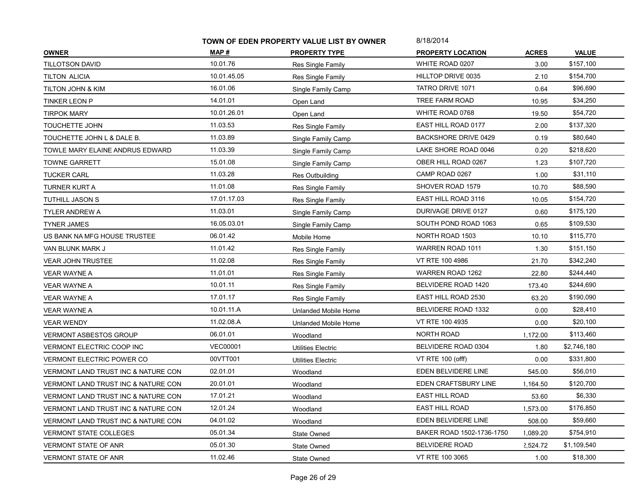| MAP#<br><b>ACRES</b><br><b>VALUE</b><br><b>PROPERTY TYPE</b><br><b>PROPERTY LOCATION</b><br>10.01.76<br>WHITE ROAD 0207<br>3.00<br>\$157,100<br>Res Single Family<br>10.01.45.05<br>HILLTOP DRIVE 0035<br>\$154,700<br>2.10<br>Res Single Family<br>16.01.06<br>\$96,690<br><b>TATRO DRIVE 1071</b><br>0.64<br>TILTON JOHN & KIM<br>Single Family Camp<br>14.01.01<br>TREE FARM ROAD<br>\$34,250<br><b>TINKER LEON P</b><br>10.95<br>Open Land<br>10.01.26.01<br>WHITE ROAD 0768<br>\$54,720<br>19.50<br>Open Land<br>11.03.53<br>EAST HILL ROAD 0177<br>\$137,320<br>2.00<br>Res Single Family<br>11.03.89<br><b>BACKSHORE DRIVE 0429</b><br>\$80,640<br>0.19<br>Single Family Camp<br>11.03.39<br>LAKE SHORE ROAD 0046<br>\$218,620<br>0.20<br>Single Family Camp<br>15.01.08<br>OBER HILL ROAD 0267<br>\$107,720<br>1.23<br><b>TOWNE GARRETT</b><br>Single Family Camp<br>11.03.28<br>CAMP ROAD 0267<br>\$31,110<br>1.00<br>Res Outbuilding<br>11.01.08<br>SHOVER ROAD 1579<br>\$88,590<br>10.70<br>Res Single Family<br>17.01.17.03<br>EAST HILL ROAD 3116<br>\$154,720<br>10.05<br>Res Single Family<br>11.03.01<br>DURIVAGE DRIVE 0127<br>\$175,120<br>0.60<br>Single Family Camp<br>16.05.03.01<br>SOUTH POND ROAD 1063<br>\$109,530<br><b>TYNER JAMES</b><br>0.65<br>Single Family Camp<br>06.01.42<br>NORTH ROAD 1503<br>\$115,770<br>10.10<br>Mobile Home<br>11.01.42<br>WARREN ROAD 1011<br>\$151,150<br>1.30<br>VAN BLUNK MARK J<br>Res Single Family<br>11.02.08<br>VT RTE 100 4986<br>\$342,240<br><b>VEAR JOHN TRUSTEE</b><br>21.70<br>Res Single Family<br>11.01.01<br><b>WARREN ROAD 1262</b><br>\$244,440<br>22.80<br>VEAR WAYNE A<br>Res Single Family<br>10.01.11<br>BELVIDERE ROAD 1420<br>\$244,690<br><b>VEAR WAYNE A</b><br>173.40<br>Res Single Family<br>17.01.17<br>EAST HILL ROAD 2530<br>\$190,090<br>63.20<br>VEAR WAYNE A<br>Res Single Family<br>10.01.11.A<br>BELVIDERE ROAD 1332<br>\$28,410<br>0.00<br>Unlanded Mobile Home<br>11.02.08.A<br>VT RTE 100 4935<br>\$20,100<br><b>VEAR WENDY</b><br>0.00<br>Unlanded Mobile Home<br>06.01.01<br>NORTH ROAD<br>\$113,460<br><b>VERMONT ASBESTOS GROUP</b><br>1,172.00<br>Woodland<br><b>VEC00001</b><br>BELVIDERE ROAD 0304<br>\$2,746,180<br>VERMONT ELECTRIC COOP INC<br>1.80<br>Utilities Electric<br>00VTT001<br>VT RTE 100 (offf)<br>\$331,800<br><b>VERMONT ELECTRIC POWER CO</b><br>0.00<br>Utilities Electric<br>02.01.01<br>EDEN BELVIDERE LINE<br>\$56,010<br><b>VERMONT LAND TRUST INC &amp; NATURE CON</b><br>545.00<br>Woodland<br>EDEN CRAFTSBURY LINE<br>20.01.01<br>\$120,700<br>VERMONT LAND TRUST INC & NATURE CON<br>1,164.50<br>Woodland<br>17.01.21<br><b>EAST HILL ROAD</b><br>\$6,330<br>VERMONT LAND TRUST INC & NATURE CON<br>53.60<br>Woodland<br>12.01.24<br><b>EAST HILL ROAD</b><br>\$176,850<br>1,573.00<br>VERMONT LAND TRUST INC & NATURE CON<br>Woodland<br>04.01.02<br>EDEN BELVIDERE LINE<br>\$59,660<br>508.00<br>Woodland<br>05.01.34<br>BAKER ROAD 1502-1736-1750<br>\$754,910<br>1,089.20<br><b>VERMONT STATE COLLEGES</b><br>State Owned<br>05.01.30<br><b>BELVIDERE ROAD</b><br>\$1,109,540<br><b>VERMONT STATE OF ANR</b><br>2,524.72<br>State Owned<br>11.02.46<br>VT RTE 100 3065<br>\$18,300<br><b>VERMONT STATE OF ANR</b><br>1.00<br>State Owned |                                     | TOWN OF EDEN PROPERTY VALUE LIST BY OWNER |  | 8/18/2014 |  |
|--------------------------------------------------------------------------------------------------------------------------------------------------------------------------------------------------------------------------------------------------------------------------------------------------------------------------------------------------------------------------------------------------------------------------------------------------------------------------------------------------------------------------------------------------------------------------------------------------------------------------------------------------------------------------------------------------------------------------------------------------------------------------------------------------------------------------------------------------------------------------------------------------------------------------------------------------------------------------------------------------------------------------------------------------------------------------------------------------------------------------------------------------------------------------------------------------------------------------------------------------------------------------------------------------------------------------------------------------------------------------------------------------------------------------------------------------------------------------------------------------------------------------------------------------------------------------------------------------------------------------------------------------------------------------------------------------------------------------------------------------------------------------------------------------------------------------------------------------------------------------------------------------------------------------------------------------------------------------------------------------------------------------------------------------------------------------------------------------------------------------------------------------------------------------------------------------------------------------------------------------------------------------------------------------------------------------------------------------------------------------------------------------------------------------------------------------------------------------------------------------------------------------------------------------------------------------------------------------------------------------------------------------------------------------------------------------------------------------------------------------------------------------------------------------------------------------------------------------------------------------------------------------------------------------------------------------------------------------------------------------------------------------------------------------------------------------------------------------------------------------------------------------------------------------------------------------------------------------------------------------------------------------------|-------------------------------------|-------------------------------------------|--|-----------|--|
|                                                                                                                                                                                                                                                                                                                                                                                                                                                                                                                                                                                                                                                                                                                                                                                                                                                                                                                                                                                                                                                                                                                                                                                                                                                                                                                                                                                                                                                                                                                                                                                                                                                                                                                                                                                                                                                                                                                                                                                                                                                                                                                                                                                                                                                                                                                                                                                                                                                                                                                                                                                                                                                                                                                                                                                                                                                                                                                                                                                                                                                                                                                                                                                                                                                                                | <b>OWNER</b>                        |                                           |  |           |  |
|                                                                                                                                                                                                                                                                                                                                                                                                                                                                                                                                                                                                                                                                                                                                                                                                                                                                                                                                                                                                                                                                                                                                                                                                                                                                                                                                                                                                                                                                                                                                                                                                                                                                                                                                                                                                                                                                                                                                                                                                                                                                                                                                                                                                                                                                                                                                                                                                                                                                                                                                                                                                                                                                                                                                                                                                                                                                                                                                                                                                                                                                                                                                                                                                                                                                                | TILLOTSON DAVID                     |                                           |  |           |  |
|                                                                                                                                                                                                                                                                                                                                                                                                                                                                                                                                                                                                                                                                                                                                                                                                                                                                                                                                                                                                                                                                                                                                                                                                                                                                                                                                                                                                                                                                                                                                                                                                                                                                                                                                                                                                                                                                                                                                                                                                                                                                                                                                                                                                                                                                                                                                                                                                                                                                                                                                                                                                                                                                                                                                                                                                                                                                                                                                                                                                                                                                                                                                                                                                                                                                                | <b>TILTON ALICIA</b>                |                                           |  |           |  |
|                                                                                                                                                                                                                                                                                                                                                                                                                                                                                                                                                                                                                                                                                                                                                                                                                                                                                                                                                                                                                                                                                                                                                                                                                                                                                                                                                                                                                                                                                                                                                                                                                                                                                                                                                                                                                                                                                                                                                                                                                                                                                                                                                                                                                                                                                                                                                                                                                                                                                                                                                                                                                                                                                                                                                                                                                                                                                                                                                                                                                                                                                                                                                                                                                                                                                |                                     |                                           |  |           |  |
|                                                                                                                                                                                                                                                                                                                                                                                                                                                                                                                                                                                                                                                                                                                                                                                                                                                                                                                                                                                                                                                                                                                                                                                                                                                                                                                                                                                                                                                                                                                                                                                                                                                                                                                                                                                                                                                                                                                                                                                                                                                                                                                                                                                                                                                                                                                                                                                                                                                                                                                                                                                                                                                                                                                                                                                                                                                                                                                                                                                                                                                                                                                                                                                                                                                                                |                                     |                                           |  |           |  |
|                                                                                                                                                                                                                                                                                                                                                                                                                                                                                                                                                                                                                                                                                                                                                                                                                                                                                                                                                                                                                                                                                                                                                                                                                                                                                                                                                                                                                                                                                                                                                                                                                                                                                                                                                                                                                                                                                                                                                                                                                                                                                                                                                                                                                                                                                                                                                                                                                                                                                                                                                                                                                                                                                                                                                                                                                                                                                                                                                                                                                                                                                                                                                                                                                                                                                | <b>TIRPOK MARY</b>                  |                                           |  |           |  |
|                                                                                                                                                                                                                                                                                                                                                                                                                                                                                                                                                                                                                                                                                                                                                                                                                                                                                                                                                                                                                                                                                                                                                                                                                                                                                                                                                                                                                                                                                                                                                                                                                                                                                                                                                                                                                                                                                                                                                                                                                                                                                                                                                                                                                                                                                                                                                                                                                                                                                                                                                                                                                                                                                                                                                                                                                                                                                                                                                                                                                                                                                                                                                                                                                                                                                | TOUCHETTE JOHN                      |                                           |  |           |  |
|                                                                                                                                                                                                                                                                                                                                                                                                                                                                                                                                                                                                                                                                                                                                                                                                                                                                                                                                                                                                                                                                                                                                                                                                                                                                                                                                                                                                                                                                                                                                                                                                                                                                                                                                                                                                                                                                                                                                                                                                                                                                                                                                                                                                                                                                                                                                                                                                                                                                                                                                                                                                                                                                                                                                                                                                                                                                                                                                                                                                                                                                                                                                                                                                                                                                                | TOUCHETTE JOHN L & DALE B.          |                                           |  |           |  |
|                                                                                                                                                                                                                                                                                                                                                                                                                                                                                                                                                                                                                                                                                                                                                                                                                                                                                                                                                                                                                                                                                                                                                                                                                                                                                                                                                                                                                                                                                                                                                                                                                                                                                                                                                                                                                                                                                                                                                                                                                                                                                                                                                                                                                                                                                                                                                                                                                                                                                                                                                                                                                                                                                                                                                                                                                                                                                                                                                                                                                                                                                                                                                                                                                                                                                | TOWLE MARY ELAINE ANDRUS EDWARD     |                                           |  |           |  |
|                                                                                                                                                                                                                                                                                                                                                                                                                                                                                                                                                                                                                                                                                                                                                                                                                                                                                                                                                                                                                                                                                                                                                                                                                                                                                                                                                                                                                                                                                                                                                                                                                                                                                                                                                                                                                                                                                                                                                                                                                                                                                                                                                                                                                                                                                                                                                                                                                                                                                                                                                                                                                                                                                                                                                                                                                                                                                                                                                                                                                                                                                                                                                                                                                                                                                |                                     |                                           |  |           |  |
|                                                                                                                                                                                                                                                                                                                                                                                                                                                                                                                                                                                                                                                                                                                                                                                                                                                                                                                                                                                                                                                                                                                                                                                                                                                                                                                                                                                                                                                                                                                                                                                                                                                                                                                                                                                                                                                                                                                                                                                                                                                                                                                                                                                                                                                                                                                                                                                                                                                                                                                                                                                                                                                                                                                                                                                                                                                                                                                                                                                                                                                                                                                                                                                                                                                                                | <b>TUCKER CARL</b>                  |                                           |  |           |  |
|                                                                                                                                                                                                                                                                                                                                                                                                                                                                                                                                                                                                                                                                                                                                                                                                                                                                                                                                                                                                                                                                                                                                                                                                                                                                                                                                                                                                                                                                                                                                                                                                                                                                                                                                                                                                                                                                                                                                                                                                                                                                                                                                                                                                                                                                                                                                                                                                                                                                                                                                                                                                                                                                                                                                                                                                                                                                                                                                                                                                                                                                                                                                                                                                                                                                                | <b>TURNER KURT A</b>                |                                           |  |           |  |
|                                                                                                                                                                                                                                                                                                                                                                                                                                                                                                                                                                                                                                                                                                                                                                                                                                                                                                                                                                                                                                                                                                                                                                                                                                                                                                                                                                                                                                                                                                                                                                                                                                                                                                                                                                                                                                                                                                                                                                                                                                                                                                                                                                                                                                                                                                                                                                                                                                                                                                                                                                                                                                                                                                                                                                                                                                                                                                                                                                                                                                                                                                                                                                                                                                                                                | <b>TUTHILL JASON S</b>              |                                           |  |           |  |
|                                                                                                                                                                                                                                                                                                                                                                                                                                                                                                                                                                                                                                                                                                                                                                                                                                                                                                                                                                                                                                                                                                                                                                                                                                                                                                                                                                                                                                                                                                                                                                                                                                                                                                                                                                                                                                                                                                                                                                                                                                                                                                                                                                                                                                                                                                                                                                                                                                                                                                                                                                                                                                                                                                                                                                                                                                                                                                                                                                                                                                                                                                                                                                                                                                                                                | <b>TYLER ANDREW A</b>               |                                           |  |           |  |
|                                                                                                                                                                                                                                                                                                                                                                                                                                                                                                                                                                                                                                                                                                                                                                                                                                                                                                                                                                                                                                                                                                                                                                                                                                                                                                                                                                                                                                                                                                                                                                                                                                                                                                                                                                                                                                                                                                                                                                                                                                                                                                                                                                                                                                                                                                                                                                                                                                                                                                                                                                                                                                                                                                                                                                                                                                                                                                                                                                                                                                                                                                                                                                                                                                                                                |                                     |                                           |  |           |  |
|                                                                                                                                                                                                                                                                                                                                                                                                                                                                                                                                                                                                                                                                                                                                                                                                                                                                                                                                                                                                                                                                                                                                                                                                                                                                                                                                                                                                                                                                                                                                                                                                                                                                                                                                                                                                                                                                                                                                                                                                                                                                                                                                                                                                                                                                                                                                                                                                                                                                                                                                                                                                                                                                                                                                                                                                                                                                                                                                                                                                                                                                                                                                                                                                                                                                                | US BANK NA MFG HOUSE TRUSTEE        |                                           |  |           |  |
|                                                                                                                                                                                                                                                                                                                                                                                                                                                                                                                                                                                                                                                                                                                                                                                                                                                                                                                                                                                                                                                                                                                                                                                                                                                                                                                                                                                                                                                                                                                                                                                                                                                                                                                                                                                                                                                                                                                                                                                                                                                                                                                                                                                                                                                                                                                                                                                                                                                                                                                                                                                                                                                                                                                                                                                                                                                                                                                                                                                                                                                                                                                                                                                                                                                                                |                                     |                                           |  |           |  |
|                                                                                                                                                                                                                                                                                                                                                                                                                                                                                                                                                                                                                                                                                                                                                                                                                                                                                                                                                                                                                                                                                                                                                                                                                                                                                                                                                                                                                                                                                                                                                                                                                                                                                                                                                                                                                                                                                                                                                                                                                                                                                                                                                                                                                                                                                                                                                                                                                                                                                                                                                                                                                                                                                                                                                                                                                                                                                                                                                                                                                                                                                                                                                                                                                                                                                |                                     |                                           |  |           |  |
|                                                                                                                                                                                                                                                                                                                                                                                                                                                                                                                                                                                                                                                                                                                                                                                                                                                                                                                                                                                                                                                                                                                                                                                                                                                                                                                                                                                                                                                                                                                                                                                                                                                                                                                                                                                                                                                                                                                                                                                                                                                                                                                                                                                                                                                                                                                                                                                                                                                                                                                                                                                                                                                                                                                                                                                                                                                                                                                                                                                                                                                                                                                                                                                                                                                                                |                                     |                                           |  |           |  |
|                                                                                                                                                                                                                                                                                                                                                                                                                                                                                                                                                                                                                                                                                                                                                                                                                                                                                                                                                                                                                                                                                                                                                                                                                                                                                                                                                                                                                                                                                                                                                                                                                                                                                                                                                                                                                                                                                                                                                                                                                                                                                                                                                                                                                                                                                                                                                                                                                                                                                                                                                                                                                                                                                                                                                                                                                                                                                                                                                                                                                                                                                                                                                                                                                                                                                |                                     |                                           |  |           |  |
|                                                                                                                                                                                                                                                                                                                                                                                                                                                                                                                                                                                                                                                                                                                                                                                                                                                                                                                                                                                                                                                                                                                                                                                                                                                                                                                                                                                                                                                                                                                                                                                                                                                                                                                                                                                                                                                                                                                                                                                                                                                                                                                                                                                                                                                                                                                                                                                                                                                                                                                                                                                                                                                                                                                                                                                                                                                                                                                                                                                                                                                                                                                                                                                                                                                                                |                                     |                                           |  |           |  |
|                                                                                                                                                                                                                                                                                                                                                                                                                                                                                                                                                                                                                                                                                                                                                                                                                                                                                                                                                                                                                                                                                                                                                                                                                                                                                                                                                                                                                                                                                                                                                                                                                                                                                                                                                                                                                                                                                                                                                                                                                                                                                                                                                                                                                                                                                                                                                                                                                                                                                                                                                                                                                                                                                                                                                                                                                                                                                                                                                                                                                                                                                                                                                                                                                                                                                | <b>VEAR WAYNE A</b>                 |                                           |  |           |  |
|                                                                                                                                                                                                                                                                                                                                                                                                                                                                                                                                                                                                                                                                                                                                                                                                                                                                                                                                                                                                                                                                                                                                                                                                                                                                                                                                                                                                                                                                                                                                                                                                                                                                                                                                                                                                                                                                                                                                                                                                                                                                                                                                                                                                                                                                                                                                                                                                                                                                                                                                                                                                                                                                                                                                                                                                                                                                                                                                                                                                                                                                                                                                                                                                                                                                                |                                     |                                           |  |           |  |
|                                                                                                                                                                                                                                                                                                                                                                                                                                                                                                                                                                                                                                                                                                                                                                                                                                                                                                                                                                                                                                                                                                                                                                                                                                                                                                                                                                                                                                                                                                                                                                                                                                                                                                                                                                                                                                                                                                                                                                                                                                                                                                                                                                                                                                                                                                                                                                                                                                                                                                                                                                                                                                                                                                                                                                                                                                                                                                                                                                                                                                                                                                                                                                                                                                                                                |                                     |                                           |  |           |  |
|                                                                                                                                                                                                                                                                                                                                                                                                                                                                                                                                                                                                                                                                                                                                                                                                                                                                                                                                                                                                                                                                                                                                                                                                                                                                                                                                                                                                                                                                                                                                                                                                                                                                                                                                                                                                                                                                                                                                                                                                                                                                                                                                                                                                                                                                                                                                                                                                                                                                                                                                                                                                                                                                                                                                                                                                                                                                                                                                                                                                                                                                                                                                                                                                                                                                                |                                     |                                           |  |           |  |
|                                                                                                                                                                                                                                                                                                                                                                                                                                                                                                                                                                                                                                                                                                                                                                                                                                                                                                                                                                                                                                                                                                                                                                                                                                                                                                                                                                                                                                                                                                                                                                                                                                                                                                                                                                                                                                                                                                                                                                                                                                                                                                                                                                                                                                                                                                                                                                                                                                                                                                                                                                                                                                                                                                                                                                                                                                                                                                                                                                                                                                                                                                                                                                                                                                                                                |                                     |                                           |  |           |  |
|                                                                                                                                                                                                                                                                                                                                                                                                                                                                                                                                                                                                                                                                                                                                                                                                                                                                                                                                                                                                                                                                                                                                                                                                                                                                                                                                                                                                                                                                                                                                                                                                                                                                                                                                                                                                                                                                                                                                                                                                                                                                                                                                                                                                                                                                                                                                                                                                                                                                                                                                                                                                                                                                                                                                                                                                                                                                                                                                                                                                                                                                                                                                                                                                                                                                                |                                     |                                           |  |           |  |
|                                                                                                                                                                                                                                                                                                                                                                                                                                                                                                                                                                                                                                                                                                                                                                                                                                                                                                                                                                                                                                                                                                                                                                                                                                                                                                                                                                                                                                                                                                                                                                                                                                                                                                                                                                                                                                                                                                                                                                                                                                                                                                                                                                                                                                                                                                                                                                                                                                                                                                                                                                                                                                                                                                                                                                                                                                                                                                                                                                                                                                                                                                                                                                                                                                                                                |                                     |                                           |  |           |  |
|                                                                                                                                                                                                                                                                                                                                                                                                                                                                                                                                                                                                                                                                                                                                                                                                                                                                                                                                                                                                                                                                                                                                                                                                                                                                                                                                                                                                                                                                                                                                                                                                                                                                                                                                                                                                                                                                                                                                                                                                                                                                                                                                                                                                                                                                                                                                                                                                                                                                                                                                                                                                                                                                                                                                                                                                                                                                                                                                                                                                                                                                                                                                                                                                                                                                                |                                     |                                           |  |           |  |
|                                                                                                                                                                                                                                                                                                                                                                                                                                                                                                                                                                                                                                                                                                                                                                                                                                                                                                                                                                                                                                                                                                                                                                                                                                                                                                                                                                                                                                                                                                                                                                                                                                                                                                                                                                                                                                                                                                                                                                                                                                                                                                                                                                                                                                                                                                                                                                                                                                                                                                                                                                                                                                                                                                                                                                                                                                                                                                                                                                                                                                                                                                                                                                                                                                                                                |                                     |                                           |  |           |  |
|                                                                                                                                                                                                                                                                                                                                                                                                                                                                                                                                                                                                                                                                                                                                                                                                                                                                                                                                                                                                                                                                                                                                                                                                                                                                                                                                                                                                                                                                                                                                                                                                                                                                                                                                                                                                                                                                                                                                                                                                                                                                                                                                                                                                                                                                                                                                                                                                                                                                                                                                                                                                                                                                                                                                                                                                                                                                                                                                                                                                                                                                                                                                                                                                                                                                                | VERMONT LAND TRUST INC & NATURE CON |                                           |  |           |  |
|                                                                                                                                                                                                                                                                                                                                                                                                                                                                                                                                                                                                                                                                                                                                                                                                                                                                                                                                                                                                                                                                                                                                                                                                                                                                                                                                                                                                                                                                                                                                                                                                                                                                                                                                                                                                                                                                                                                                                                                                                                                                                                                                                                                                                                                                                                                                                                                                                                                                                                                                                                                                                                                                                                                                                                                                                                                                                                                                                                                                                                                                                                                                                                                                                                                                                |                                     |                                           |  |           |  |
|                                                                                                                                                                                                                                                                                                                                                                                                                                                                                                                                                                                                                                                                                                                                                                                                                                                                                                                                                                                                                                                                                                                                                                                                                                                                                                                                                                                                                                                                                                                                                                                                                                                                                                                                                                                                                                                                                                                                                                                                                                                                                                                                                                                                                                                                                                                                                                                                                                                                                                                                                                                                                                                                                                                                                                                                                                                                                                                                                                                                                                                                                                                                                                                                                                                                                |                                     |                                           |  |           |  |
|                                                                                                                                                                                                                                                                                                                                                                                                                                                                                                                                                                                                                                                                                                                                                                                                                                                                                                                                                                                                                                                                                                                                                                                                                                                                                                                                                                                                                                                                                                                                                                                                                                                                                                                                                                                                                                                                                                                                                                                                                                                                                                                                                                                                                                                                                                                                                                                                                                                                                                                                                                                                                                                                                                                                                                                                                                                                                                                                                                                                                                                                                                                                                                                                                                                                                |                                     |                                           |  |           |  |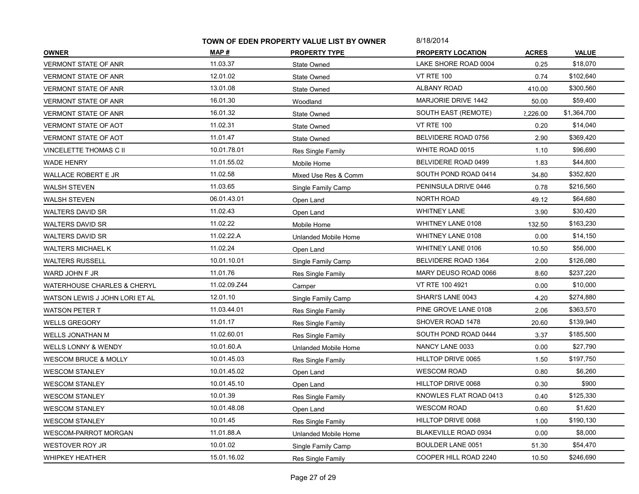|                                        | TOWN OF EDEN PROPERTY VALUE LIST BY OWNER |                      | 8/18/2014                   |              |              |
|----------------------------------------|-------------------------------------------|----------------------|-----------------------------|--------------|--------------|
| <b>OWNER</b>                           | MAP #                                     | <b>PROPERTY TYPE</b> | <b>PROPERTY LOCATION</b>    | <b>ACRES</b> | <b>VALUE</b> |
| <b>VERMONT STATE OF ANR</b>            | 11.03.37                                  | State Owned          | LAKE SHORE ROAD 0004        | 0.25         | \$18,070     |
| <b>VERMONT STATE OF ANR</b>            | 12.01.02                                  | State Owned          | <b>VT RTE 100</b>           | 0.74         | \$102,640    |
| VERMONT STATE OF ANR                   | 13.01.08                                  | State Owned          | ALBANY ROAD                 | 410.00       | \$300,560    |
| VERMONT STATE OF ANR                   | 16.01.30                                  | Woodland             | <b>MARJORIE DRIVE 1442</b>  | 50.00        | \$59,400     |
| VERMONT STATE OF ANR                   | 16.01.32                                  | State Owned          | SOUTH EAST (REMOTE)         | 2,226.00     | \$1,364,700  |
| <b>VERMONT STATE OF AOT</b>            | 11.02.31                                  | State Owned          | <b>VT RTE 100</b>           | 0.20         | \$14,040     |
| VERMONT STATE OF AOT                   | 11.01.47                                  | State Owned          | BELVIDERE ROAD 0756         | 2.90         | \$369,420    |
| VINCELETTE THOMAS C II                 | 10.01.78.01                               | Res Single Family    | WHITE ROAD 0015             | 1.10         | \$96,690     |
| <b>WADE HENRY</b>                      | 11.01.55.02                               | Mobile Home          | BELVIDERE ROAD 0499         | 1.83         | \$44,800     |
| WALLACE ROBERT E JR                    | 11.02.58                                  | Mixed Use Res & Comm | SOUTH POND ROAD 0414        | 34.80        | \$352,820    |
| WALSH STEVEN                           | 11.03.65                                  | Single Family Camp   | PENINSULA DRIVE 0446        | 0.78         | \$216,560    |
| <b>WALSH STEVEN</b>                    | 06.01.43.01                               | Open Land            | <b>NORTH ROAD</b>           | 49.12        | \$64,680     |
| <b>WALTERS DAVID SR</b>                | 11.02.43                                  | Open Land            | WHITNEY LANE                | 3.90         | \$30,420     |
| <b>WALTERS DAVID SR</b>                | 11.02.22                                  | Mobile Home          | WHITNEY LANE 0108           | 132.50       | \$163,230    |
| WALTERS DAVID SR                       | 11.02.22.A                                | Unlanded Mobile Home | WHITNEY LANE 0108           | 0.00         | \$14,150     |
| WALTERS MICHAEL K                      | 11.02.24                                  | Open Land            | WHITNEY LANE 0106           | 10.50        | \$56,000     |
| <b>WALTERS RUSSELL</b>                 | 10.01.10.01                               | Single Family Camp   | BELVIDERE ROAD 1364         | 2.00         | \$126,080    |
| WARD JOHN F JR                         | 11.01.76                                  | Res Single Family    | MARY DEUSO ROAD 0066        | 8.60         | \$237,220    |
| <b>WATERHOUSE CHARLES &amp; CHERYL</b> | 11.02.09.Z44                              | Camper               | VT RTE 100 4921             | 0.00         | \$10,000     |
| WATSON LEWIS J JOHN LORI ET AL         | 12.01.10                                  | Single Family Camp   | SHARI'S LANE 0043           | 4.20         | \$274,880    |
| <b>WATSON PETER T</b>                  | 11.03.44.01                               | Res Single Family    | PINE GROVE LANE 0108        | 2.06         | \$363,570    |
| <b>WELLS GREGORY</b>                   | 11.01.17                                  | Res Single Family    | SHOVER ROAD 1478            | 20.60        | \$139,940    |
| WELLS JONATHAN M                       | 11.02.60.01                               | Res Single Family    | SOUTH POND ROAD 0444        | 3.37         | \$185,500    |
| WELLS LONNY & WENDY                    | 10.01.60.A                                | Unlanded Mobile Home | NANCY LANE 0033             | 0.00         | \$27,790     |
| <b>WESCOM BRUCE &amp; MOLLY</b>        | 10.01.45.03                               | Res Single Family    | HILLTOP DRIVE 0065          | 1.50         | \$197,750    |
| <b>WESCOM STANLEY</b>                  | 10.01.45.02                               | Open Land            | <b>WESCOM ROAD</b>          | 0.80         | \$6,260      |
| <b>WESCOM STANLEY</b>                  | 10.01.45.10                               | Open Land            | HILLTOP DRIVE 0068          | 0.30         | \$900        |
| <b>WESCOM STANLEY</b>                  | 10.01.39                                  | Res Single Family    | KNOWLES FLAT ROAD 0413      | 0.40         | \$125,330    |
| <b>WESCOM STANLEY</b>                  | 10.01.48.08                               | Open Land            | <b>WESCOM ROAD</b>          | 0.60         | \$1,620      |
| <b>WESCOM STANLEY</b>                  | 10.01.45                                  | Res Single Family    | HILLTOP DRIVE 0068          | 1.00         | \$190,130    |
| WESCOM-PARROT MORGAN                   | 11.01.88.A                                | Unlanded Mobile Home | <b>BLAKEVILLE ROAD 0934</b> | 0.00         | \$8,000      |
| <b>WESTOVER ROY JR</b>                 | 10.01.02                                  | Single Family Camp   | BOULDER LANE 0051           | 51.30        | \$54,470     |
| <b>WHIPKEY HEATHER</b>                 | 15.01.16.02                               | Res Single Family    | COOPER HILL ROAD 2240       | 10.50        | \$246,690    |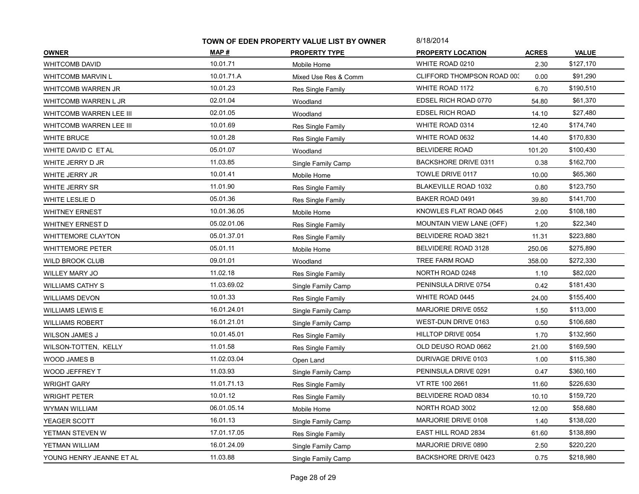|                           | TOWN OF EDEN PROPERTY VALUE LIST BY OWNER |                      | 8/18/2014                   |              |              |
|---------------------------|-------------------------------------------|----------------------|-----------------------------|--------------|--------------|
| <b>OWNER</b>              | MAP #                                     | <b>PROPERTY TYPE</b> | <b>PROPERTY LOCATION</b>    | <b>ACRES</b> | <b>VALUE</b> |
| <b>WHITCOMB DAVID</b>     | 10.01.71                                  | Mobile Home          | WHITE ROAD 0210             | 2.30         | \$127,170    |
| <b>WHITCOMB MARVIN L</b>  | 10.01.71.A                                | Mixed Use Res & Comm | CLIFFORD THOMPSON ROAD 003  | 0.00         | \$91,290     |
| WHITCOMB WARREN JR        | 10.01.23                                  | Res Single Family    | WHITE ROAD 1172             | 6.70         | \$190,510    |
| WHITCOMB WARREN L JR      | 02.01.04                                  | Woodland             | EDSEL RICH ROAD 0770        | 54.80        | \$61,370     |
| WHITCOMB WARREN LEE III   | 02.01.05                                  | Woodland             | <b>EDSEL RICH ROAD</b>      | 14.10        | \$27,480     |
| WHITCOMB WARREN LEE III   | 10.01.69                                  | Res Single Family    | WHITE ROAD 0314             | 12.40        | \$174,740    |
| <b>WHITE BRUCE</b>        | 10.01.28                                  | Res Single Family    | WHITE ROAD 0632             | 14.40        | \$170,830    |
| WHITE DAVID C ET AL       | 05.01.07                                  | Woodland             | <b>BELVIDERE ROAD</b>       | 101.20       | \$100,430    |
| WHITE JERRY D JR          | 11.03.85                                  | Single Family Camp   | <b>BACKSHORE DRIVE 0311</b> | 0.38         | \$162,700    |
| WHITE JERRY JR            | 10.01.41                                  | Mobile Home          | TOWLE DRIVE 0117            | 10.00        | \$65,360     |
| WHITE JERRY SR            | 11.01.90                                  | Res Single Family    | <b>BLAKEVILLE ROAD 1032</b> | 0.80         | \$123,750    |
| WHITE LESLIE D            | 05.01.36                                  | Res Single Family    | BAKER ROAD 0491             | 39.80        | \$141,700    |
| <b>WHITNEY ERNEST</b>     | 10.01.36.05                               | Mobile Home          | KNOWLES FLAT ROAD 0645      | 2.00         | \$108,180    |
| WHITNEY ERNEST D          | 05.02.01.06                               | Res Single Family    | MOUNTAIN VIEW LANE (OFF)    | 1.20         | \$22,340     |
| <b>WHITTEMORE CLAYTON</b> | 05.01.37.01                               | Res Single Family    | BELVIDERE ROAD 3821         | 11.31        | \$223,880    |
| <b>WHITTEMORE PETER</b>   | 05.01.11                                  | Mobile Home          | BELVIDERE ROAD 3128         | 250.06       | \$275,890    |
| WILD BROOK CLUB           | 09.01.01                                  | Woodland             | TREE FARM ROAD              | 358.00       | \$272,330    |
| <b>WILLEY MARY JO</b>     | 11.02.18                                  | Res Single Family    | NORTH ROAD 0248             | 1.10         | \$82,020     |
| <b>WILLIAMS CATHY S</b>   | 11.03.69.02                               | Single Family Camp   | PENINSULA DRIVE 0754        | 0.42         | \$181,430    |
| <b>WILLIAMS DEVON</b>     | 10.01.33                                  | Res Single Family    | WHITE ROAD 0445             | 24.00        | \$155,400    |
| <b>WILLIAMS LEWIS E</b>   | 16.01.24.01                               | Single Family Camp   | MARJORIE DRIVE 0552         | 1.50         | \$113,000    |
| WILLIAMS ROBERT           | 16.01.21.01                               | Single Family Camp   | WEST-DUN DRIVE 0163         | 0.50         | \$106,680    |
| <b>WILSON JAMES J</b>     | 10.01.45.01                               | Res Single Family    | HILLTOP DRIVE 0054          | 1.70         | \$132,950    |
| WILSON-TOTTEN, KELLY      | 11.01.58                                  | Res Single Family    | OLD DEUSO ROAD 0662         | 21.00        | \$169,590    |
| WOOD JAMES B              | 11.02.03.04                               | Open Land            | DURIVAGE DRIVE 0103         | 1.00         | \$115,380    |
| WOOD JEFFREY T            | 11.03.93                                  | Single Family Camp   | PENINSULA DRIVE 0291        | 0.47         | \$360,160    |
| <b>WRIGHT GARY</b>        | 11.01.71.13                               | Res Single Family    | VT RTE 100 2661             | 11.60        | \$226,630    |
| <b>WRIGHT PETER</b>       | 10.01.12                                  | Res Single Family    | BELVIDERE ROAD 0834         | 10.10        | \$159,720    |
| WYMAN WILLIAM             | 06.01.05.14                               | Mobile Home          | NORTH ROAD 3002             | 12.00        | \$58,680     |
| YEAGER SCOTT              | 16.01.13                                  | Single Family Camp   | MARJORIE DRIVE 0108         | 1.40         | \$138,020    |
| YETMAN STEVEN W           | 17.01.17.05                               | Res Single Family    | EAST HILL ROAD 2834         | 61.60        | \$138,890    |
| YETMAN WILLIAM            | 16.01.24.09                               | Single Family Camp   | MARJORIE DRIVE 0890         | 2.50         | \$220,220    |
| YOUNG HENRY JEANNE ET AL  | 11.03.88                                  | Single Family Camp   | <b>BACKSHORE DRIVE 0423</b> | 0.75         | \$218,980    |